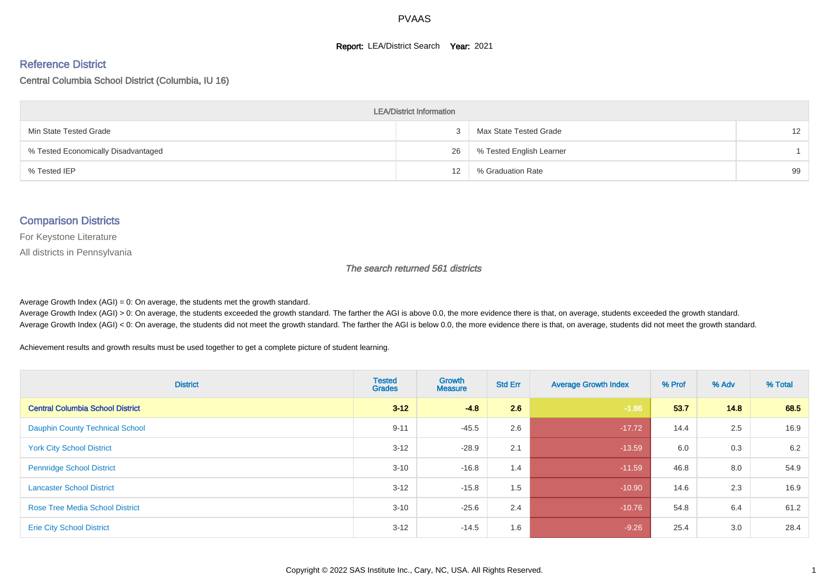#### **Report: LEA/District Search Year: 2021**

#### Reference District

Central Columbia School District (Columbia, IU 16)

| <b>LEA/District Information</b>     |    |                          |                   |  |  |  |  |  |  |  |
|-------------------------------------|----|--------------------------|-------------------|--|--|--|--|--|--|--|
| Min State Tested Grade              |    | Max State Tested Grade   | $12 \overline{ }$ |  |  |  |  |  |  |  |
| % Tested Economically Disadvantaged | 26 | % Tested English Learner |                   |  |  |  |  |  |  |  |
| % Tested IEP                        | 12 | % Graduation Rate        | 99                |  |  |  |  |  |  |  |

#### Comparison Districts

For Keystone Literature

All districts in Pennsylvania

The search returned 561 districts

Average Growth Index  $(AGI) = 0$ : On average, the students met the growth standard.

Average Growth Index (AGI) > 0: On average, the students exceeded the growth standard. The farther the AGI is above 0.0, the more evidence there is that, on average, students exceeded the growth standard. Average Growth Index (AGI) < 0: On average, the students did not meet the growth standard. The farther the AGI is below 0.0, the more evidence there is that, on average, students did not meet the growth standard.

Achievement results and growth results must be used together to get a complete picture of student learning.

| <b>District</b>                         | <b>Tested</b><br><b>Grades</b> | <b>Growth</b><br><b>Measure</b> | <b>Std Err</b> | <b>Average Growth Index</b> | % Prof | % Adv | % Total |
|-----------------------------------------|--------------------------------|---------------------------------|----------------|-----------------------------|--------|-------|---------|
| <b>Central Columbia School District</b> | $3 - 12$                       | $-4.8$                          | 2.6            | $-1.86$                     | 53.7   | 14.8  | 68.5    |
| <b>Dauphin County Technical School</b>  | $9 - 11$                       | $-45.5$                         | 2.6            | $-17.72$                    | 14.4   | 2.5   | 16.9    |
| <b>York City School District</b>        | $3 - 12$                       | $-28.9$                         | 2.1            | $-13.59$                    | 6.0    | 0.3   | 6.2     |
| <b>Pennridge School District</b>        | $3 - 10$                       | $-16.8$                         | 1.4            | $-11.59$                    | 46.8   | 8.0   | 54.9    |
| <b>Lancaster School District</b>        | $3 - 12$                       | $-15.8$                         | 1.5            | $-10.90$                    | 14.6   | 2.3   | 16.9    |
| <b>Rose Tree Media School District</b>  | $3 - 10$                       | $-25.6$                         | 2.4            | $-10.76$                    | 54.8   | 6.4   | 61.2    |
| <b>Erie City School District</b>        | $3 - 12$                       | $-14.5$                         | 1.6            | $-9.26$                     | 25.4   | 3.0   | 28.4    |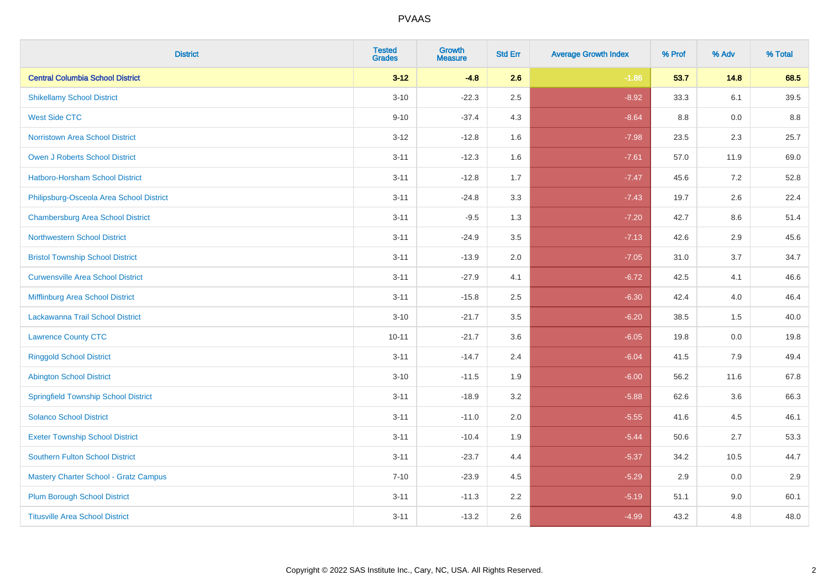| <b>District</b>                              | <b>Tested</b><br><b>Grades</b> | <b>Growth</b><br><b>Measure</b> | <b>Std Err</b> | <b>Average Growth Index</b> | % Prof | % Adv | % Total |
|----------------------------------------------|--------------------------------|---------------------------------|----------------|-----------------------------|--------|-------|---------|
| <b>Central Columbia School District</b>      | $3 - 12$                       | $-4.8$                          | 2.6            | $-1.86$                     | 53.7   | 14.8  | 68.5    |
| <b>Shikellamy School District</b>            | $3 - 10$                       | $-22.3$                         | 2.5            | $-8.92$                     | 33.3   | 6.1   | 39.5    |
| <b>West Side CTC</b>                         | $9 - 10$                       | $-37.4$                         | 4.3            | $-8.64$                     | 8.8    | 0.0   | 8.8     |
| <b>Norristown Area School District</b>       | $3 - 12$                       | $-12.8$                         | 1.6            | $-7.98$                     | 23.5   | 2.3   | 25.7    |
| Owen J Roberts School District               | $3 - 11$                       | $-12.3$                         | 1.6            | $-7.61$                     | 57.0   | 11.9  | 69.0    |
| <b>Hatboro-Horsham School District</b>       | $3 - 11$                       | $-12.8$                         | 1.7            | $-7.47$                     | 45.6   | 7.2   | 52.8    |
| Philipsburg-Osceola Area School District     | $3 - 11$                       | $-24.8$                         | 3.3            | $-7.43$                     | 19.7   | 2.6   | 22.4    |
| <b>Chambersburg Area School District</b>     | $3 - 11$                       | $-9.5$                          | 1.3            | $-7.20$                     | 42.7   | 8.6   | 51.4    |
| <b>Northwestern School District</b>          | $3 - 11$                       | $-24.9$                         | 3.5            | $-7.13$                     | 42.6   | 2.9   | 45.6    |
| <b>Bristol Township School District</b>      | $3 - 11$                       | $-13.9$                         | 2.0            | $-7.05$                     | 31.0   | 3.7   | 34.7    |
| <b>Curwensville Area School District</b>     | $3 - 11$                       | $-27.9$                         | 4.1            | $-6.72$                     | 42.5   | 4.1   | 46.6    |
| Mifflinburg Area School District             | $3 - 11$                       | $-15.8$                         | 2.5            | $-6.30$                     | 42.4   | 4.0   | 46.4    |
| Lackawanna Trail School District             | $3 - 10$                       | $-21.7$                         | 3.5            | $-6.20$                     | 38.5   | 1.5   | 40.0    |
| <b>Lawrence County CTC</b>                   | $10 - 11$                      | $-21.7$                         | 3.6            | $-6.05$                     | 19.8   | 0.0   | 19.8    |
| <b>Ringgold School District</b>              | $3 - 11$                       | $-14.7$                         | 2.4            | $-6.04$                     | 41.5   | 7.9   | 49.4    |
| <b>Abington School District</b>              | $3 - 10$                       | $-11.5$                         | 1.9            | $-6.00$                     | 56.2   | 11.6  | 67.8    |
| <b>Springfield Township School District</b>  | $3 - 11$                       | $-18.9$                         | 3.2            | $-5.88$                     | 62.6   | 3.6   | 66.3    |
| <b>Solanco School District</b>               | $3 - 11$                       | $-11.0$                         | 2.0            | $-5.55$                     | 41.6   | 4.5   | 46.1    |
| <b>Exeter Township School District</b>       | $3 - 11$                       | $-10.4$                         | 1.9            | $-5.44$                     | 50.6   | 2.7   | 53.3    |
| <b>Southern Fulton School District</b>       | $3 - 11$                       | $-23.7$                         | 4.4            | $-5.37$                     | 34.2   | 10.5  | 44.7    |
| <b>Mastery Charter School - Gratz Campus</b> | $7 - 10$                       | $-23.9$                         | 4.5            | $-5.29$                     | 2.9    | 0.0   | 2.9     |
| <b>Plum Borough School District</b>          | $3 - 11$                       | $-11.3$                         | 2.2            | $-5.19$                     | 51.1   | 9.0   | 60.1    |
| <b>Titusville Area School District</b>       | $3 - 11$                       | $-13.2$                         | 2.6            | $-4.99$                     | 43.2   | 4.8   | 48.0    |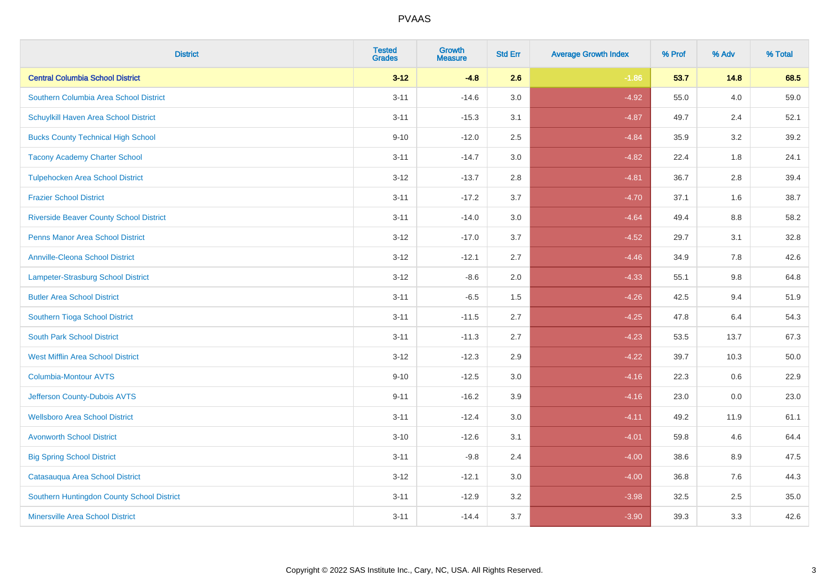| <b>District</b>                                | <b>Tested</b><br><b>Grades</b> | <b>Growth</b><br><b>Measure</b> | <b>Std Err</b> | <b>Average Growth Index</b> | % Prof | % Adv | % Total |
|------------------------------------------------|--------------------------------|---------------------------------|----------------|-----------------------------|--------|-------|---------|
| <b>Central Columbia School District</b>        | $3 - 12$                       | $-4.8$                          | 2.6            | $-1.86$                     | 53.7   | 14.8  | 68.5    |
| Southern Columbia Area School District         | $3 - 11$                       | $-14.6$                         | 3.0            | $-4.92$                     | 55.0   | 4.0   | 59.0    |
| Schuylkill Haven Area School District          | $3 - 11$                       | $-15.3$                         | 3.1            | $-4.87$                     | 49.7   | 2.4   | 52.1    |
| <b>Bucks County Technical High School</b>      | $9 - 10$                       | $-12.0$                         | 2.5            | $-4.84$                     | 35.9   | 3.2   | 39.2    |
| <b>Tacony Academy Charter School</b>           | $3 - 11$                       | $-14.7$                         | 3.0            | $-4.82$                     | 22.4   | 1.8   | 24.1    |
| <b>Tulpehocken Area School District</b>        | $3 - 12$                       | $-13.7$                         | 2.8            | $-4.81$                     | 36.7   | 2.8   | 39.4    |
| <b>Frazier School District</b>                 | $3 - 11$                       | $-17.2$                         | 3.7            | $-4.70$                     | 37.1   | 1.6   | 38.7    |
| <b>Riverside Beaver County School District</b> | $3 - 11$                       | $-14.0$                         | 3.0            | $-4.64$                     | 49.4   | 8.8   | 58.2    |
| <b>Penns Manor Area School District</b>        | $3 - 12$                       | $-17.0$                         | 3.7            | $-4.52$                     | 29.7   | 3.1   | 32.8    |
| <b>Annville-Cleona School District</b>         | $3 - 12$                       | $-12.1$                         | 2.7            | $-4.46$                     | 34.9   | 7.8   | 42.6    |
| Lampeter-Strasburg School District             | $3 - 12$                       | $-8.6$                          | 2.0            | $-4.33$                     | 55.1   | 9.8   | 64.8    |
| <b>Butler Area School District</b>             | $3 - 11$                       | $-6.5$                          | 1.5            | $-4.26$                     | 42.5   | 9.4   | 51.9    |
| Southern Tioga School District                 | $3 - 11$                       | $-11.5$                         | 2.7            | $-4.25$                     | 47.8   | 6.4   | 54.3    |
| <b>South Park School District</b>              | $3 - 11$                       | $-11.3$                         | 2.7            | $-4.23$                     | 53.5   | 13.7  | 67.3    |
| <b>West Mifflin Area School District</b>       | $3 - 12$                       | $-12.3$                         | 2.9            | $-4.22$                     | 39.7   | 10.3  | 50.0    |
| <b>Columbia-Montour AVTS</b>                   | $9 - 10$                       | $-12.5$                         | 3.0            | $-4.16$                     | 22.3   | 0.6   | 22.9    |
| Jefferson County-Dubois AVTS                   | $9 - 11$                       | $-16.2$                         | 3.9            | $-4.16$                     | 23.0   | 0.0   | 23.0    |
| <b>Wellsboro Area School District</b>          | $3 - 11$                       | $-12.4$                         | 3.0            | $-4.11$                     | 49.2   | 11.9  | 61.1    |
| <b>Avonworth School District</b>               | $3 - 10$                       | $-12.6$                         | 3.1            | $-4.01$                     | 59.8   | 4.6   | 64.4    |
| <b>Big Spring School District</b>              | $3 - 11$                       | $-9.8$                          | 2.4            | $-4.00$                     | 38.6   | 8.9   | 47.5    |
| Catasauqua Area School District                | $3-12$                         | $-12.1$                         | 3.0            | $-4.00$                     | 36.8   | 7.6   | 44.3    |
| Southern Huntingdon County School District     | $3 - 11$                       | $-12.9$                         | 3.2            | $-3.98$                     | 32.5   | 2.5   | 35.0    |
| <b>Minersville Area School District</b>        | $3 - 11$                       | $-14.4$                         | 3.7            | $-3.90$                     | 39.3   | 3.3   | 42.6    |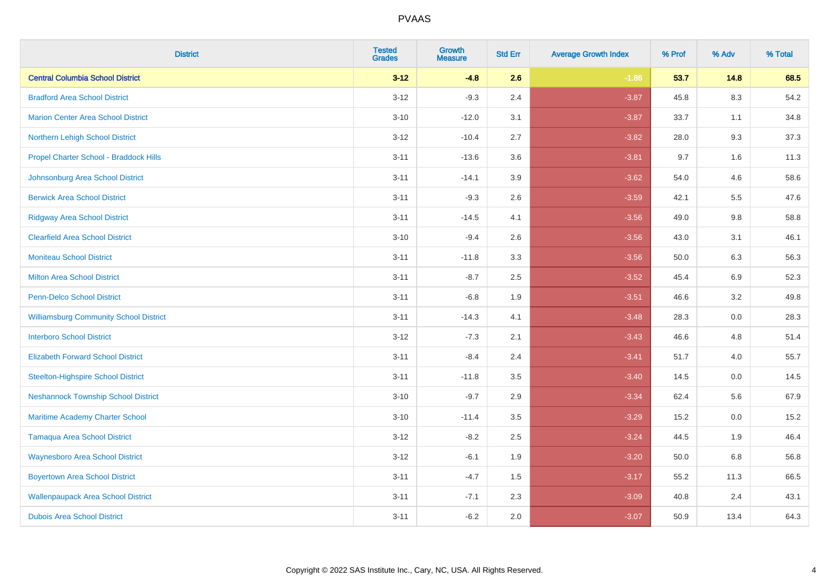| <b>District</b>                               | <b>Tested</b><br><b>Grades</b> | <b>Growth</b><br><b>Measure</b> | <b>Std Err</b> | <b>Average Growth Index</b> | % Prof | % Adv   | % Total |
|-----------------------------------------------|--------------------------------|---------------------------------|----------------|-----------------------------|--------|---------|---------|
| <b>Central Columbia School District</b>       | $3 - 12$                       | $-4.8$                          | 2.6            | $-1.86$                     | 53.7   | 14.8    | 68.5    |
| <b>Bradford Area School District</b>          | $3 - 12$                       | $-9.3$                          | 2.4            | $-3.87$                     | 45.8   | $8.3\,$ | 54.2    |
| <b>Marion Center Area School District</b>     | $3 - 10$                       | $-12.0$                         | 3.1            | $-3.87$                     | 33.7   | 1.1     | 34.8    |
| Northern Lehigh School District               | $3 - 12$                       | $-10.4$                         | 2.7            | $-3.82$                     | 28.0   | 9.3     | 37.3    |
| Propel Charter School - Braddock Hills        | $3 - 11$                       | $-13.6$                         | 3.6            | $-3.81$                     | 9.7    | 1.6     | 11.3    |
| Johnsonburg Area School District              | $3 - 11$                       | $-14.1$                         | 3.9            | $-3.62$                     | 54.0   | 4.6     | 58.6    |
| <b>Berwick Area School District</b>           | $3 - 11$                       | $-9.3$                          | 2.6            | $-3.59$                     | 42.1   | 5.5     | 47.6    |
| <b>Ridgway Area School District</b>           | $3 - 11$                       | $-14.5$                         | 4.1            | $-3.56$                     | 49.0   | 9.8     | 58.8    |
| <b>Clearfield Area School District</b>        | $3 - 10$                       | $-9.4$                          | 2.6            | $-3.56$                     | 43.0   | 3.1     | 46.1    |
| <b>Moniteau School District</b>               | $3 - 11$                       | $-11.8$                         | 3.3            | $-3.56$                     | 50.0   | 6.3     | 56.3    |
| <b>Milton Area School District</b>            | $3 - 11$                       | $-8.7$                          | 2.5            | $-3.52$                     | 45.4   | 6.9     | 52.3    |
| <b>Penn-Delco School District</b>             | $3 - 11$                       | $-6.8$                          | 1.9            | $-3.51$                     | 46.6   | 3.2     | 49.8    |
| <b>Williamsburg Community School District</b> | $3 - 11$                       | $-14.3$                         | 4.1            | $-3.48$                     | 28.3   | $0.0\,$ | 28.3    |
| <b>Interboro School District</b>              | $3 - 12$                       | $-7.3$                          | 2.1            | $-3.43$                     | 46.6   | 4.8     | 51.4    |
| <b>Elizabeth Forward School District</b>      | $3 - 11$                       | $-8.4$                          | 2.4            | $-3.41$                     | 51.7   | 4.0     | 55.7    |
| <b>Steelton-Highspire School District</b>     | $3 - 11$                       | $-11.8$                         | 3.5            | $-3.40$                     | 14.5   | $0.0\,$ | 14.5    |
| <b>Neshannock Township School District</b>    | $3 - 10$                       | $-9.7$                          | 2.9            | $-3.34$                     | 62.4   | 5.6     | 67.9    |
| Maritime Academy Charter School               | $3 - 10$                       | $-11.4$                         | 3.5            | $-3.29$                     | 15.2   | 0.0     | 15.2    |
| <b>Tamaqua Area School District</b>           | $3 - 12$                       | $-8.2$                          | 2.5            | $-3.24$                     | 44.5   | 1.9     | 46.4    |
| <b>Waynesboro Area School District</b>        | $3 - 12$                       | $-6.1$                          | 1.9            | $-3.20$                     | 50.0   | 6.8     | 56.8    |
| <b>Boyertown Area School District</b>         | $3 - 11$                       | $-4.7$                          | 1.5            | $-3.17$                     | 55.2   | 11.3    | 66.5    |
| <b>Wallenpaupack Area School District</b>     | $3 - 11$                       | $-7.1$                          | 2.3            | $-3.09$                     | 40.8   | 2.4     | 43.1    |
| <b>Dubois Area School District</b>            | $3 - 11$                       | $-6.2$                          | 2.0            | $-3.07$                     | 50.9   | 13.4    | 64.3    |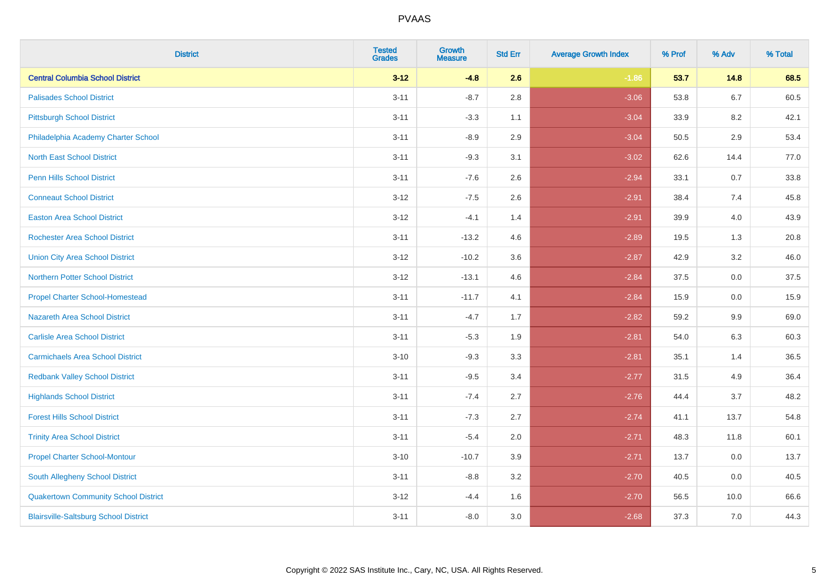| <b>District</b>                              | <b>Tested</b><br><b>Grades</b> | <b>Growth</b><br><b>Measure</b> | <b>Std Err</b> | <b>Average Growth Index</b> | % Prof | % Adv   | % Total |
|----------------------------------------------|--------------------------------|---------------------------------|----------------|-----------------------------|--------|---------|---------|
| <b>Central Columbia School District</b>      | $3 - 12$                       | $-4.8$                          | 2.6            | $-1.86$                     | 53.7   | 14.8    | 68.5    |
| <b>Palisades School District</b>             | $3 - 11$                       | $-8.7$                          | 2.8            | $-3.06$                     | 53.8   | $6.7\,$ | 60.5    |
| <b>Pittsburgh School District</b>            | $3 - 11$                       | $-3.3$                          | 1.1            | $-3.04$                     | 33.9   | 8.2     | 42.1    |
| Philadelphia Academy Charter School          | $3 - 11$                       | $-8.9$                          | 2.9            | $-3.04$                     | 50.5   | 2.9     | 53.4    |
| <b>North East School District</b>            | $3 - 11$                       | $-9.3$                          | 3.1            | $-3.02$                     | 62.6   | 14.4    | 77.0    |
| <b>Penn Hills School District</b>            | $3 - 11$                       | $-7.6$                          | 2.6            | $-2.94$                     | 33.1   | 0.7     | 33.8    |
| <b>Conneaut School District</b>              | $3 - 12$                       | $-7.5$                          | 2.6            | $-2.91$                     | 38.4   | 7.4     | 45.8    |
| <b>Easton Area School District</b>           | $3 - 12$                       | $-4.1$                          | 1.4            | $-2.91$                     | 39.9   | 4.0     | 43.9    |
| <b>Rochester Area School District</b>        | $3 - 11$                       | $-13.2$                         | 4.6            | $-2.89$                     | 19.5   | 1.3     | 20.8    |
| <b>Union City Area School District</b>       | $3 - 12$                       | $-10.2$                         | 3.6            | $-2.87$                     | 42.9   | 3.2     | 46.0    |
| <b>Northern Potter School District</b>       | $3 - 12$                       | $-13.1$                         | 4.6            | $-2.84$                     | 37.5   | 0.0     | 37.5    |
| <b>Propel Charter School-Homestead</b>       | $3 - 11$                       | $-11.7$                         | 4.1            | $-2.84$                     | 15.9   | 0.0     | 15.9    |
| Nazareth Area School District                | $3 - 11$                       | $-4.7$                          | 1.7            | $-2.82$                     | 59.2   | $9.9\,$ | 69.0    |
| <b>Carlisle Area School District</b>         | $3 - 11$                       | $-5.3$                          | 1.9            | $-2.81$                     | 54.0   | 6.3     | 60.3    |
| <b>Carmichaels Area School District</b>      | $3 - 10$                       | $-9.3$                          | 3.3            | $-2.81$                     | 35.1   | 1.4     | 36.5    |
| <b>Redbank Valley School District</b>        | $3 - 11$                       | $-9.5$                          | 3.4            | $-2.77$                     | 31.5   | 4.9     | 36.4    |
| <b>Highlands School District</b>             | $3 - 11$                       | $-7.4$                          | 2.7            | $-2.76$                     | 44.4   | 3.7     | 48.2    |
| <b>Forest Hills School District</b>          | $3 - 11$                       | $-7.3$                          | 2.7            | $-2.74$                     | 41.1   | 13.7    | 54.8    |
| <b>Trinity Area School District</b>          | $3 - 11$                       | $-5.4$                          | 2.0            | $-2.71$                     | 48.3   | 11.8    | 60.1    |
| <b>Propel Charter School-Montour</b>         | $3 - 10$                       | $-10.7$                         | 3.9            | $-2.71$                     | 13.7   | 0.0     | 13.7    |
| South Allegheny School District              | $3 - 11$                       | $-8.8$                          | 3.2            | $-2.70$                     | 40.5   | 0.0     | 40.5    |
| <b>Quakertown Community School District</b>  | $3-12$                         | $-4.4$                          | 1.6            | $-2.70$                     | 56.5   | 10.0    | 66.6    |
| <b>Blairsville-Saltsburg School District</b> | $3 - 11$                       | $-8.0$                          | 3.0            | $-2.68$                     | 37.3   | 7.0     | 44.3    |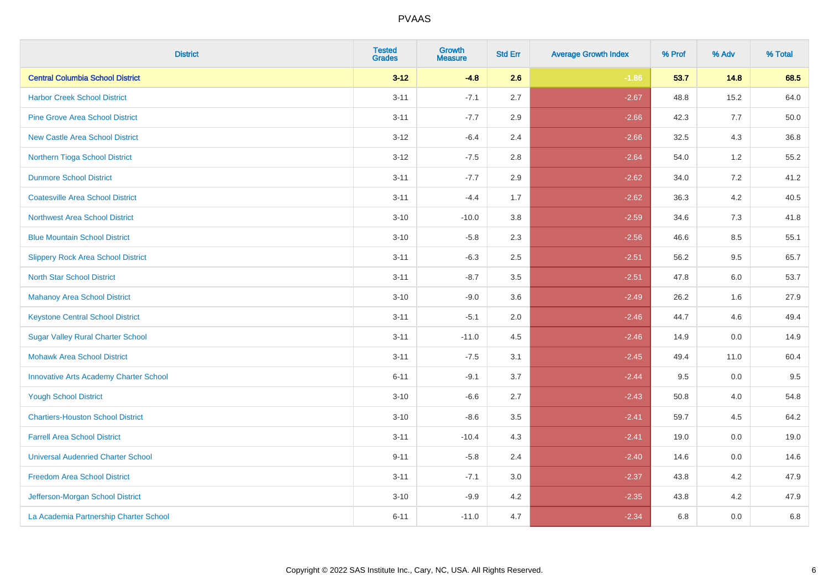| <b>District</b>                               | <b>Tested</b><br><b>Grades</b> | <b>Growth</b><br><b>Measure</b> | <b>Std Err</b> | <b>Average Growth Index</b> | % Prof | % Adv   | % Total |
|-----------------------------------------------|--------------------------------|---------------------------------|----------------|-----------------------------|--------|---------|---------|
| <b>Central Columbia School District</b>       | $3 - 12$                       | $-4.8$                          | 2.6            | $-1.86$                     | 53.7   | 14.8    | 68.5    |
| <b>Harbor Creek School District</b>           | $3 - 11$                       | $-7.1$                          | 2.7            | $-2.67$                     | 48.8   | 15.2    | 64.0    |
| <b>Pine Grove Area School District</b>        | $3 - 11$                       | $-7.7$                          | 2.9            | $-2.66$                     | 42.3   | 7.7     | 50.0    |
| <b>New Castle Area School District</b>        | $3-12$                         | $-6.4$                          | 2.4            | $-2.66$                     | 32.5   | $4.3$   | 36.8    |
| Northern Tioga School District                | $3 - 12$                       | $-7.5$                          | 2.8            | $-2.64$                     | 54.0   | 1.2     | 55.2    |
| <b>Dunmore School District</b>                | $3 - 11$                       | $-7.7$                          | 2.9            | $-2.62$                     | 34.0   | 7.2     | 41.2    |
| <b>Coatesville Area School District</b>       | $3 - 11$                       | $-4.4$                          | 1.7            | $-2.62$                     | 36.3   | $4.2\,$ | 40.5    |
| <b>Northwest Area School District</b>         | $3 - 10$                       | $-10.0$                         | 3.8            | $-2.59$                     | 34.6   | 7.3     | 41.8    |
| <b>Blue Mountain School District</b>          | $3 - 10$                       | $-5.8$                          | 2.3            | $-2.56$                     | 46.6   | 8.5     | 55.1    |
| <b>Slippery Rock Area School District</b>     | $3 - 11$                       | $-6.3$                          | 2.5            | $-2.51$                     | 56.2   | $9.5\,$ | 65.7    |
| <b>North Star School District</b>             | $3 - 11$                       | $-8.7$                          | 3.5            | $-2.51$                     | 47.8   | 6.0     | 53.7    |
| Mahanoy Area School District                  | $3 - 10$                       | $-9.0$                          | 3.6            | $-2.49$                     | 26.2   | 1.6     | 27.9    |
| <b>Keystone Central School District</b>       | $3 - 11$                       | $-5.1$                          | 2.0            | $-2.46$                     | 44.7   | 4.6     | 49.4    |
| <b>Sugar Valley Rural Charter School</b>      | $3 - 11$                       | $-11.0$                         | 4.5            | $-2.46$                     | 14.9   | $0.0\,$ | 14.9    |
| <b>Mohawk Area School District</b>            | $3 - 11$                       | $-7.5$                          | 3.1            | $-2.45$                     | 49.4   | 11.0    | 60.4    |
| <b>Innovative Arts Academy Charter School</b> | $6 - 11$                       | $-9.1$                          | 3.7            | $-2.44$                     | 9.5    | 0.0     | 9.5     |
| <b>Yough School District</b>                  | $3 - 10$                       | $-6.6$                          | 2.7            | $-2.43$                     | 50.8   | 4.0     | 54.8    |
| <b>Chartiers-Houston School District</b>      | $3 - 10$                       | $-8.6$                          | 3.5            | $-2.41$                     | 59.7   | 4.5     | 64.2    |
| <b>Farrell Area School District</b>           | $3 - 11$                       | $-10.4$                         | 4.3            | $-2.41$                     | 19.0   | 0.0     | 19.0    |
| <b>Universal Audenried Charter School</b>     | $9 - 11$                       | $-5.8$                          | 2.4            | $-2.40$                     | 14.6   | 0.0     | 14.6    |
| <b>Freedom Area School District</b>           | $3 - 11$                       | $-7.1$                          | 3.0            | $-2.37$                     | 43.8   | 4.2     | 47.9    |
| Jefferson-Morgan School District              | $3 - 10$                       | $-9.9$                          | 4.2            | $-2.35$                     | 43.8   | 4.2     | 47.9    |
| La Academia Partnership Charter School        | $6 - 11$                       | $-11.0$                         | 4.7            | $-2.34$                     | 6.8    | 0.0     | 6.8     |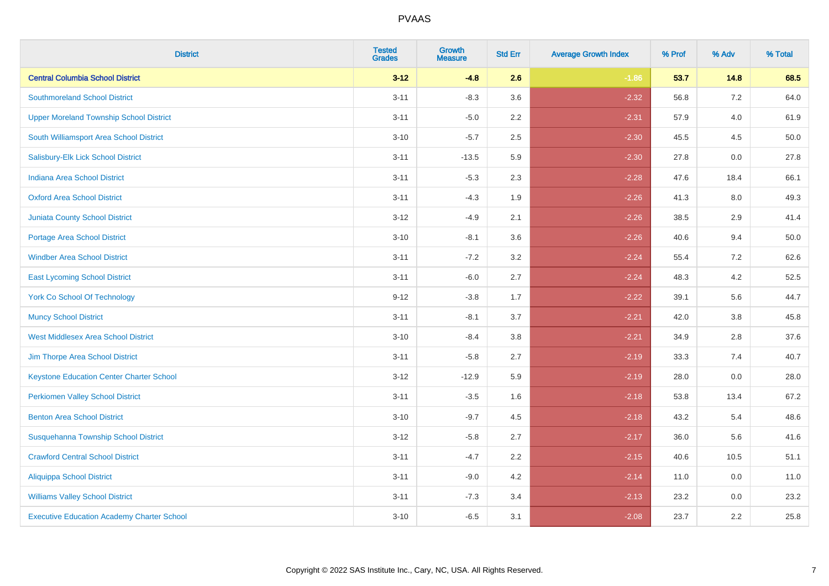| <b>District</b>                                   | <b>Tested</b><br><b>Grades</b> | <b>Growth</b><br><b>Measure</b> | <b>Std Err</b> | <b>Average Growth Index</b> | % Prof | % Adv   | % Total |
|---------------------------------------------------|--------------------------------|---------------------------------|----------------|-----------------------------|--------|---------|---------|
| <b>Central Columbia School District</b>           | $3 - 12$                       | $-4.8$                          | 2.6            | $-1.86$                     | 53.7   | 14.8    | 68.5    |
| <b>Southmoreland School District</b>              | $3 - 11$                       | $-8.3$                          | 3.6            | $-2.32$                     | 56.8   | $7.2\,$ | 64.0    |
| <b>Upper Moreland Township School District</b>    | $3 - 11$                       | $-5.0$                          | 2.2            | $-2.31$                     | 57.9   | 4.0     | 61.9    |
| South Williamsport Area School District           | $3 - 10$                       | $-5.7$                          | 2.5            | $-2.30$                     | 45.5   | 4.5     | 50.0    |
| Salisbury-Elk Lick School District                | $3 - 11$                       | $-13.5$                         | 5.9            | $-2.30$                     | 27.8   | 0.0     | 27.8    |
| Indiana Area School District                      | $3 - 11$                       | $-5.3$                          | 2.3            | $-2.28$                     | 47.6   | 18.4    | 66.1    |
| <b>Oxford Area School District</b>                | $3 - 11$                       | $-4.3$                          | 1.9            | $-2.26$                     | 41.3   | 8.0     | 49.3    |
| <b>Juniata County School District</b>             | $3 - 12$                       | $-4.9$                          | 2.1            | $-2.26$                     | 38.5   | 2.9     | 41.4    |
| <b>Portage Area School District</b>               | $3 - 10$                       | $-8.1$                          | 3.6            | $-2.26$                     | 40.6   | 9.4     | 50.0    |
| <b>Windber Area School District</b>               | $3 - 11$                       | $-7.2$                          | 3.2            | $-2.24$                     | 55.4   | 7.2     | 62.6    |
| <b>East Lycoming School District</b>              | $3 - 11$                       | $-6.0$                          | 2.7            | $-2.24$                     | 48.3   | 4.2     | 52.5    |
| <b>York Co School Of Technology</b>               | $9 - 12$                       | $-3.8$                          | 1.7            | $-2.22$                     | 39.1   | 5.6     | 44.7    |
| <b>Muncy School District</b>                      | $3 - 11$                       | $-8.1$                          | 3.7            | $-2.21$                     | 42.0   | $3.8\,$ | 45.8    |
| <b>West Middlesex Area School District</b>        | $3 - 10$                       | $-8.4$                          | $3.8\,$        | $-2.21$                     | 34.9   | 2.8     | 37.6    |
| Jim Thorpe Area School District                   | $3 - 11$                       | $-5.8$                          | 2.7            | $-2.19$                     | 33.3   | 7.4     | 40.7    |
| <b>Keystone Education Center Charter School</b>   | $3 - 12$                       | $-12.9$                         | 5.9            | $-2.19$                     | 28.0   | $0.0\,$ | 28.0    |
| <b>Perkiomen Valley School District</b>           | $3 - 11$                       | $-3.5$                          | 1.6            | $-2.18$                     | 53.8   | 13.4    | 67.2    |
| <b>Benton Area School District</b>                | $3 - 10$                       | $-9.7$                          | 4.5            | $-2.18$                     | 43.2   | 5.4     | 48.6    |
| Susquehanna Township School District              | $3 - 12$                       | $-5.8$                          | 2.7            | $-2.17$                     | 36.0   | 5.6     | 41.6    |
| <b>Crawford Central School District</b>           | $3 - 11$                       | $-4.7$                          | 2.2            | $-2.15$                     | 40.6   | 10.5    | 51.1    |
| <b>Aliquippa School District</b>                  | $3 - 11$                       | $-9.0$                          | 4.2            | $-2.14$                     | 11.0   | 0.0     | 11.0    |
| <b>Williams Valley School District</b>            | $3 - 11$                       | $-7.3$                          | 3.4            | $-2.13$                     | 23.2   | 0.0     | 23.2    |
| <b>Executive Education Academy Charter School</b> | $3 - 10$                       | $-6.5$                          | 3.1            | $-2.08$                     | 23.7   | 2.2     | 25.8    |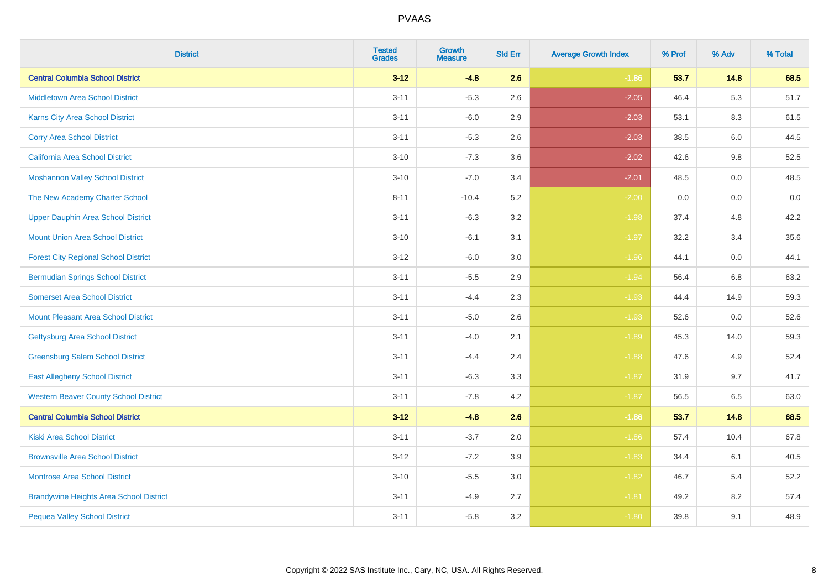| <b>District</b>                                | <b>Tested</b><br><b>Grades</b> | <b>Growth</b><br><b>Measure</b> | <b>Std Err</b> | <b>Average Growth Index</b> | % Prof | % Adv | % Total |
|------------------------------------------------|--------------------------------|---------------------------------|----------------|-----------------------------|--------|-------|---------|
| <b>Central Columbia School District</b>        | $3 - 12$                       | $-4.8$                          | 2.6            | $-1.86$                     | 53.7   | 14.8  | 68.5    |
| <b>Middletown Area School District</b>         | $3 - 11$                       | $-5.3$                          | 2.6            | $-2.05$                     | 46.4   | 5.3   | 51.7    |
| <b>Karns City Area School District</b>         | $3 - 11$                       | $-6.0$                          | 2.9            | $-2.03$                     | 53.1   | 8.3   | 61.5    |
| <b>Corry Area School District</b>              | $3 - 11$                       | $-5.3$                          | 2.6            | $-2.03$                     | 38.5   | 6.0   | 44.5    |
| California Area School District                | $3 - 10$                       | $-7.3$                          | 3.6            | $-2.02$                     | 42.6   | 9.8   | 52.5    |
| <b>Moshannon Valley School District</b>        | $3 - 10$                       | $-7.0$                          | 3.4            | $-2.01$                     | 48.5   | 0.0   | 48.5    |
| The New Academy Charter School                 | $8 - 11$                       | $-10.4$                         | 5.2            | $-2.00$                     | 0.0    | 0.0   | $0.0\,$ |
| <b>Upper Dauphin Area School District</b>      | $3 - 11$                       | $-6.3$                          | 3.2            | $-1.98$                     | 37.4   | 4.8   | 42.2    |
| <b>Mount Union Area School District</b>        | $3 - 10$                       | $-6.1$                          | 3.1            | $-1.97$                     | 32.2   | 3.4   | 35.6    |
| <b>Forest City Regional School District</b>    | $3 - 12$                       | $-6.0$                          | 3.0            | $-1.96$                     | 44.1   | 0.0   | 44.1    |
| <b>Bermudian Springs School District</b>       | $3 - 11$                       | $-5.5$                          | 2.9            | $-1.94$                     | 56.4   | 6.8   | 63.2    |
| <b>Somerset Area School District</b>           | $3 - 11$                       | $-4.4$                          | 2.3            | $-1.93$                     | 44.4   | 14.9  | 59.3    |
| <b>Mount Pleasant Area School District</b>     | $3 - 11$                       | $-5.0$                          | 2.6            | $-1.93$                     | 52.6   | 0.0   | 52.6    |
| <b>Gettysburg Area School District</b>         | $3 - 11$                       | $-4.0$                          | 2.1            | $-1.89$                     | 45.3   | 14.0  | 59.3    |
| <b>Greensburg Salem School District</b>        | $3 - 11$                       | $-4.4$                          | 2.4            | $-1.88$                     | 47.6   | 4.9   | 52.4    |
| <b>East Allegheny School District</b>          | $3 - 11$                       | $-6.3$                          | 3.3            | $-1.87$                     | 31.9   | 9.7   | 41.7    |
| <b>Western Beaver County School District</b>   | $3 - 11$                       | $-7.8$                          | 4.2            | $-1.87$                     | 56.5   | 6.5   | 63.0    |
| <b>Central Columbia School District</b>        | $3 - 12$                       | $-4.8$                          | 2.6            | $-1.86$                     | 53.7   | 14.8  | 68.5    |
| <b>Kiski Area School District</b>              | $3 - 11$                       | $-3.7$                          | 2.0            | $-1.86$                     | 57.4   | 10.4  | 67.8    |
| <b>Brownsville Area School District</b>        | $3-12$                         | $-7.2$                          | 3.9            | $-1.83$                     | 34.4   | 6.1   | 40.5    |
| <b>Montrose Area School District</b>           | $3 - 10$                       | $-5.5$                          | 3.0            | $-1.82$                     | 46.7   | 5.4   | 52.2    |
| <b>Brandywine Heights Area School District</b> | $3 - 11$                       | $-4.9$                          | 2.7            | $-1.81$                     | 49.2   | 8.2   | 57.4    |
| <b>Pequea Valley School District</b>           | $3 - 11$                       | $-5.8$                          | 3.2            | $-1.80$                     | 39.8   | 9.1   | 48.9    |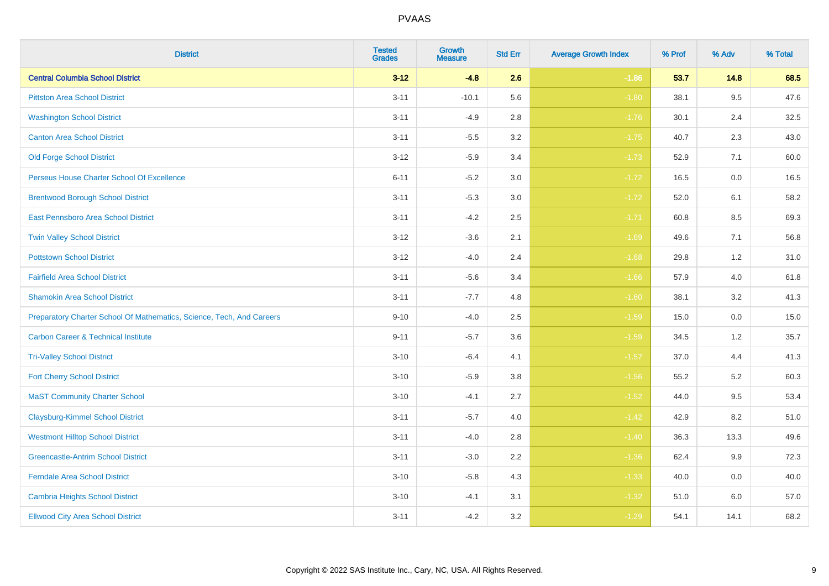| <b>District</b>                                                       | <b>Tested</b><br><b>Grades</b> | Growth<br><b>Measure</b> | <b>Std Err</b> | <b>Average Growth Index</b> | % Prof | % Adv | % Total |
|-----------------------------------------------------------------------|--------------------------------|--------------------------|----------------|-----------------------------|--------|-------|---------|
| <b>Central Columbia School District</b>                               | $3 - 12$                       | $-4.8$                   | 2.6            | $-1.86$                     | 53.7   | 14.8  | 68.5    |
| <b>Pittston Area School District</b>                                  | $3 - 11$                       | $-10.1$                  | 5.6            | $-1.80$                     | 38.1   | 9.5   | 47.6    |
| <b>Washington School District</b>                                     | $3 - 11$                       | $-4.9$                   | 2.8            | $-1.76$                     | 30.1   | 2.4   | 32.5    |
| <b>Canton Area School District</b>                                    | $3 - 11$                       | $-5.5$                   | $3.2\,$        | $-1.75$                     | 40.7   | 2.3   | 43.0    |
| <b>Old Forge School District</b>                                      | $3 - 12$                       | $-5.9$                   | 3.4            | $-1.73$                     | 52.9   | 7.1   | 60.0    |
| Perseus House Charter School Of Excellence                            | $6 - 11$                       | $-5.2$                   | 3.0            | $-1.72$                     | 16.5   | 0.0   | 16.5    |
| <b>Brentwood Borough School District</b>                              | $3 - 11$                       | $-5.3$                   | $3.0\,$        | $-1.72$                     | 52.0   | 6.1   | 58.2    |
| East Pennsboro Area School District                                   | $3 - 11$                       | $-4.2$                   | 2.5            | $-1.71$                     | 60.8   | 8.5   | 69.3    |
| <b>Twin Valley School District</b>                                    | $3 - 12$                       | $-3.6$                   | 2.1            | $-1.69$                     | 49.6   | 7.1   | 56.8    |
| <b>Pottstown School District</b>                                      | $3 - 12$                       | $-4.0$                   | 2.4            | $-1.68$                     | 29.8   | 1.2   | 31.0    |
| <b>Fairfield Area School District</b>                                 | $3 - 11$                       | $-5.6$                   | 3.4            | $-1.66$                     | 57.9   | 4.0   | 61.8    |
| <b>Shamokin Area School District</b>                                  | $3 - 11$                       | $-7.7$                   | 4.8            | $-1.60$                     | 38.1   | 3.2   | 41.3    |
| Preparatory Charter School Of Mathematics, Science, Tech, And Careers | $9 - 10$                       | $-4.0$                   | 2.5            | $-1.59$                     | 15.0   | 0.0   | 15.0    |
| <b>Carbon Career &amp; Technical Institute</b>                        | $9 - 11$                       | $-5.7$                   | 3.6            | $-1.59$                     | 34.5   | 1.2   | 35.7    |
| <b>Tri-Valley School District</b>                                     | $3 - 10$                       | $-6.4$                   | 4.1            | $-1.57$                     | 37.0   | 4.4   | 41.3    |
| <b>Fort Cherry School District</b>                                    | $3 - 10$                       | $-5.9$                   | 3.8            | $-1.56$                     | 55.2   | 5.2   | 60.3    |
| <b>MaST Community Charter School</b>                                  | $3 - 10$                       | $-4.1$                   | 2.7            | $-1.52$                     | 44.0   | 9.5   | 53.4    |
| <b>Claysburg-Kimmel School District</b>                               | $3 - 11$                       | $-5.7$                   | 4.0            | $-1.42$                     | 42.9   | 8.2   | 51.0    |
| <b>Westmont Hilltop School District</b>                               | $3 - 11$                       | $-4.0$                   | 2.8            | $-1.40$                     | 36.3   | 13.3  | 49.6    |
| <b>Greencastle-Antrim School District</b>                             | $3 - 11$                       | $-3.0$                   | 2.2            | $-1.36$                     | 62.4   | 9.9   | 72.3    |
| <b>Ferndale Area School District</b>                                  | $3 - 10$                       | $-5.8$                   | 4.3            | $-1.33$                     | 40.0   | 0.0   | 40.0    |
| <b>Cambria Heights School District</b>                                | $3 - 10$                       | $-4.1$                   | 3.1            | $-1.32$                     | 51.0   | 6.0   | 57.0    |
| <b>Ellwood City Area School District</b>                              | $3 - 11$                       | $-4.2$                   | 3.2            | $-1.29$                     | 54.1   | 14.1  | 68.2    |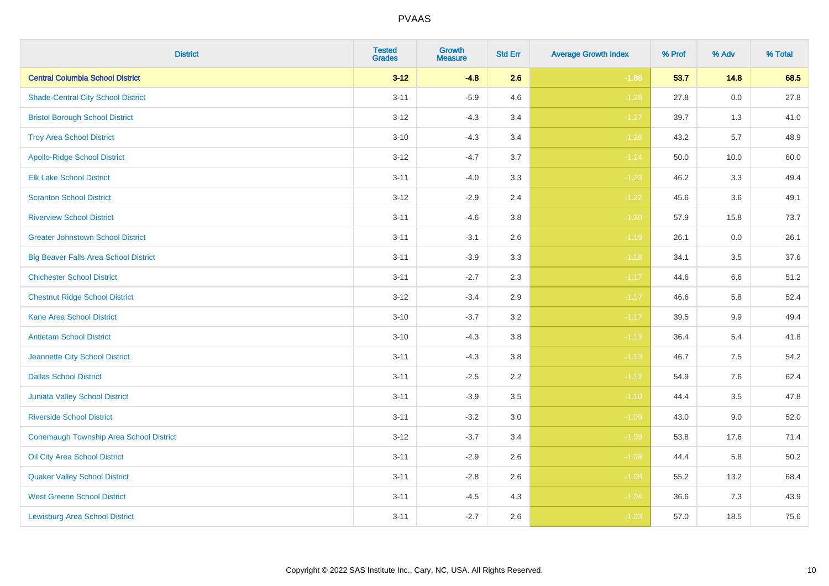| <b>District</b>                                | <b>Tested</b><br><b>Grades</b> | <b>Growth</b><br><b>Measure</b> | <b>Std Err</b> | <b>Average Growth Index</b> | % Prof | % Adv   | % Total |
|------------------------------------------------|--------------------------------|---------------------------------|----------------|-----------------------------|--------|---------|---------|
| <b>Central Columbia School District</b>        | $3 - 12$                       | $-4.8$                          | 2.6            | $-1.86$                     | 53.7   | 14.8    | 68.5    |
| <b>Shade-Central City School District</b>      | $3 - 11$                       | $-5.9$                          | 4.6            | $-1.28$                     | 27.8   | $0.0\,$ | 27.8    |
| <b>Bristol Borough School District</b>         | $3-12$                         | $-4.3$                          | 3.4            | $-1.27$                     | 39.7   | 1.3     | 41.0    |
| <b>Troy Area School District</b>               | $3 - 10$                       | $-4.3$                          | 3.4            | $-1.26$                     | 43.2   | 5.7     | 48.9    |
| <b>Apollo-Ridge School District</b>            | $3 - 12$                       | $-4.7$                          | 3.7            | $-1.24$                     | 50.0   | 10.0    | 60.0    |
| <b>Elk Lake School District</b>                | $3 - 11$                       | $-4.0$                          | 3.3            | $-1.23$                     | 46.2   | 3.3     | 49.4    |
| <b>Scranton School District</b>                | $3-12$                         | $-2.9$                          | 2.4            | $-1.22$                     | 45.6   | 3.6     | 49.1    |
| <b>Riverview School District</b>               | $3 - 11$                       | $-4.6$                          | 3.8            | $-1.20$                     | 57.9   | 15.8    | 73.7    |
| <b>Greater Johnstown School District</b>       | $3 - 11$                       | $-3.1$                          | 2.6            | $-1.19$                     | 26.1   | 0.0     | 26.1    |
| <b>Big Beaver Falls Area School District</b>   | $3 - 11$                       | $-3.9$                          | 3.3            | $-1.18$                     | 34.1   | $3.5\,$ | 37.6    |
| <b>Chichester School District</b>              | $3 - 11$                       | $-2.7$                          | 2.3            | $-1.17$                     | 44.6   | 6.6     | 51.2    |
| <b>Chestnut Ridge School District</b>          | $3 - 12$                       | $-3.4$                          | 2.9            | $-1.17$                     | 46.6   | 5.8     | 52.4    |
| <b>Kane Area School District</b>               | $3 - 10$                       | $-3.7$                          | 3.2            | $-1.17$                     | 39.5   | $9.9\,$ | 49.4    |
| <b>Antietam School District</b>                | $3 - 10$                       | $-4.3$                          | 3.8            | $-1.13$                     | 36.4   | 5.4     | 41.8    |
| Jeannette City School District                 | $3 - 11$                       | $-4.3$                          | 3.8            | $-1.13$                     | 46.7   | 7.5     | 54.2    |
| <b>Dallas School District</b>                  | $3 - 11$                       | $-2.5$                          | 2.2            | $-1.12$                     | 54.9   | 7.6     | 62.4    |
| Juniata Valley School District                 | $3 - 11$                       | $-3.9$                          | 3.5            | $-1.10$                     | 44.4   | 3.5     | 47.8    |
| <b>Riverside School District</b>               | $3 - 11$                       | $-3.2$                          | 3.0            | $-1.09$                     | 43.0   | 9.0     | 52.0    |
| <b>Conemaugh Township Area School District</b> | $3 - 12$                       | $-3.7$                          | 3.4            | $-1.09$                     | 53.8   | 17.6    | 71.4    |
| Oil City Area School District                  | $3 - 11$                       | $-2.9$                          | 2.6            | $-1.08$                     | 44.4   | 5.8     | 50.2    |
| <b>Quaker Valley School District</b>           | $3 - 11$                       | $-2.8$                          | 2.6            | $-1.08$                     | 55.2   | 13.2    | 68.4    |
| <b>West Greene School District</b>             | $3 - 11$                       | $-4.5$                          | 4.3            | $-1.04$                     | 36.6   | 7.3     | 43.9    |
| <b>Lewisburg Area School District</b>          | $3 - 11$                       | $-2.7$                          | 2.6            | $-1.03$                     | 57.0   | 18.5    | 75.6    |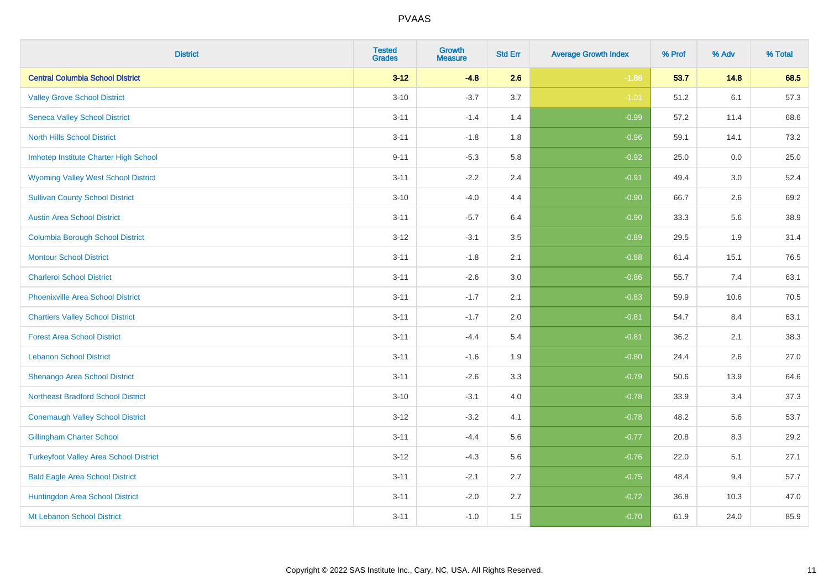| <b>District</b>                               | <b>Tested</b><br><b>Grades</b> | <b>Growth</b><br><b>Measure</b> | <b>Std Err</b> | <b>Average Growth Index</b> | % Prof | % Adv | % Total |
|-----------------------------------------------|--------------------------------|---------------------------------|----------------|-----------------------------|--------|-------|---------|
| <b>Central Columbia School District</b>       | $3 - 12$                       | $-4.8$                          | 2.6            | $-1.86$                     | 53.7   | 14.8  | 68.5    |
| <b>Valley Grove School District</b>           | $3 - 10$                       | $-3.7$                          | 3.7            | $-1.01$                     | 51.2   | 6.1   | 57.3    |
| <b>Seneca Valley School District</b>          | $3 - 11$                       | $-1.4$                          | 1.4            | $-0.99$                     | 57.2   | 11.4  | 68.6    |
| <b>North Hills School District</b>            | $3 - 11$                       | $-1.8$                          | 1.8            | $-0.96$                     | 59.1   | 14.1  | 73.2    |
| Imhotep Institute Charter High School         | $9 - 11$                       | $-5.3$                          | 5.8            | $-0.92$                     | 25.0   | 0.0   | 25.0    |
| <b>Wyoming Valley West School District</b>    | $3 - 11$                       | $-2.2$                          | 2.4            | $-0.91$                     | 49.4   | 3.0   | 52.4    |
| <b>Sullivan County School District</b>        | $3 - 10$                       | $-4.0$                          | 4.4            | $-0.90$                     | 66.7   | 2.6   | 69.2    |
| <b>Austin Area School District</b>            | $3 - 11$                       | $-5.7$                          | 6.4            | $-0.90$                     | 33.3   | 5.6   | 38.9    |
| <b>Columbia Borough School District</b>       | $3 - 12$                       | $-3.1$                          | 3.5            | $-0.89$                     | 29.5   | 1.9   | 31.4    |
| <b>Montour School District</b>                | $3 - 11$                       | $-1.8$                          | 2.1            | $-0.88$                     | 61.4   | 15.1  | 76.5    |
| <b>Charleroi School District</b>              | $3 - 11$                       | $-2.6$                          | 3.0            | $-0.86$                     | 55.7   | 7.4   | 63.1    |
| <b>Phoenixville Area School District</b>      | $3 - 11$                       | $-1.7$                          | 2.1            | $-0.83$                     | 59.9   | 10.6  | 70.5    |
| <b>Chartiers Valley School District</b>       | $3 - 11$                       | $-1.7$                          | 2.0            | $-0.81$                     | 54.7   | 8.4   | 63.1    |
| <b>Forest Area School District</b>            | $3 - 11$                       | $-4.4$                          | 5.4            | $-0.81$                     | 36.2   | 2.1   | 38.3    |
| <b>Lebanon School District</b>                | $3 - 11$                       | $-1.6$                          | 1.9            | $-0.80$                     | 24.4   | 2.6   | 27.0    |
| Shenango Area School District                 | $3 - 11$                       | $-2.6$                          | 3.3            | $-0.79$                     | 50.6   | 13.9  | 64.6    |
| <b>Northeast Bradford School District</b>     | $3 - 10$                       | $-3.1$                          | 4.0            | $-0.78$                     | 33.9   | 3.4   | 37.3    |
| <b>Conemaugh Valley School District</b>       | $3 - 12$                       | $-3.2$                          | 4.1            | $-0.78$                     | 48.2   | 5.6   | 53.7    |
| <b>Gillingham Charter School</b>              | $3 - 11$                       | $-4.4$                          | 5.6            | $-0.77$                     | 20.8   | 8.3   | 29.2    |
| <b>Turkeyfoot Valley Area School District</b> | $3 - 12$                       | $-4.3$                          | 5.6            | $-0.76$                     | 22.0   | 5.1   | 27.1    |
| <b>Bald Eagle Area School District</b>        | $3 - 11$                       | $-2.1$                          | 2.7            | $-0.75$                     | 48.4   | 9.4   | 57.7    |
| Huntingdon Area School District               | $3 - 11$                       | $-2.0$                          | 2.7            | $-0.72$                     | 36.8   | 10.3  | 47.0    |
| Mt Lebanon School District                    | $3 - 11$                       | $-1.0$                          | 1.5            | $-0.70$                     | 61.9   | 24.0  | 85.9    |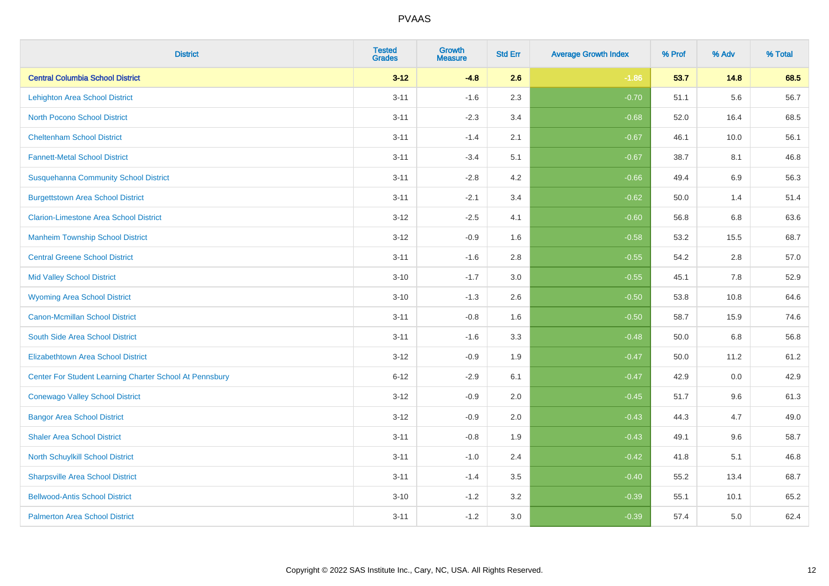| <b>District</b>                                         | <b>Tested</b><br><b>Grades</b> | <b>Growth</b><br><b>Measure</b> | <b>Std Err</b> | <b>Average Growth Index</b> | % Prof | % Adv | % Total |
|---------------------------------------------------------|--------------------------------|---------------------------------|----------------|-----------------------------|--------|-------|---------|
| <b>Central Columbia School District</b>                 | $3 - 12$                       | $-4.8$                          | 2.6            | $-1.86$                     | 53.7   | 14.8  | 68.5    |
| <b>Lehighton Area School District</b>                   | $3 - 11$                       | $-1.6$                          | 2.3            | $-0.70$                     | 51.1   | 5.6   | 56.7    |
| <b>North Pocono School District</b>                     | $3 - 11$                       | $-2.3$                          | 3.4            | $-0.68$                     | 52.0   | 16.4  | 68.5    |
| <b>Cheltenham School District</b>                       | $3 - 11$                       | $-1.4$                          | 2.1            | $-0.67$                     | 46.1   | 10.0  | 56.1    |
| <b>Fannett-Metal School District</b>                    | $3 - 11$                       | $-3.4$                          | 5.1            | $-0.67$                     | 38.7   | 8.1   | 46.8    |
| <b>Susquehanna Community School District</b>            | $3 - 11$                       | $-2.8$                          | 4.2            | $-0.66$                     | 49.4   | 6.9   | 56.3    |
| <b>Burgettstown Area School District</b>                | $3 - 11$                       | $-2.1$                          | 3.4            | $-0.62$                     | 50.0   | 1.4   | 51.4    |
| <b>Clarion-Limestone Area School District</b>           | $3 - 12$                       | $-2.5$                          | 4.1            | $-0.60$                     | 56.8   | 6.8   | 63.6    |
| <b>Manheim Township School District</b>                 | $3 - 12$                       | $-0.9$                          | 1.6            | $-0.58$                     | 53.2   | 15.5  | 68.7    |
| <b>Central Greene School District</b>                   | $3 - 11$                       | $-1.6$                          | 2.8            | $-0.55$                     | 54.2   | 2.8   | 57.0    |
| <b>Mid Valley School District</b>                       | $3 - 10$                       | $-1.7$                          | 3.0            | $-0.55$                     | 45.1   | 7.8   | 52.9    |
| <b>Wyoming Area School District</b>                     | $3 - 10$                       | $-1.3$                          | 2.6            | $-0.50$                     | 53.8   | 10.8  | 64.6    |
| Canon-Mcmillan School District                          | $3 - 11$                       | $-0.8$                          | 1.6            | $-0.50$                     | 58.7   | 15.9  | 74.6    |
| South Side Area School District                         | $3 - 11$                       | $-1.6$                          | 3.3            | $-0.48$                     | 50.0   | 6.8   | 56.8    |
| <b>Elizabethtown Area School District</b>               | $3 - 12$                       | $-0.9$                          | 1.9            | $-0.47$                     | 50.0   | 11.2  | 61.2    |
| Center For Student Learning Charter School At Pennsbury | $6 - 12$                       | $-2.9$                          | 6.1            | $-0.47$                     | 42.9   | 0.0   | 42.9    |
| <b>Conewago Valley School District</b>                  | $3 - 12$                       | $-0.9$                          | 2.0            | $-0.45$                     | 51.7   | 9.6   | 61.3    |
| <b>Bangor Area School District</b>                      | $3 - 12$                       | $-0.9$                          | 2.0            | $-0.43$                     | 44.3   | 4.7   | 49.0    |
| <b>Shaler Area School District</b>                      | $3 - 11$                       | $-0.8$                          | 1.9            | $-0.43$                     | 49.1   | 9.6   | 58.7    |
| North Schuylkill School District                        | $3 - 11$                       | $-1.0$                          | 2.4            | $-0.42$                     | 41.8   | 5.1   | 46.8    |
| <b>Sharpsville Area School District</b>                 | $3 - 11$                       | $-1.4$                          | 3.5            | $-0.40$                     | 55.2   | 13.4  | 68.7    |
| <b>Bellwood-Antis School District</b>                   | $3 - 10$                       | $-1.2$                          | 3.2            | $-0.39$                     | 55.1   | 10.1  | 65.2    |
| <b>Palmerton Area School District</b>                   | $3 - 11$                       | $-1.2$                          | 3.0            | $-0.39$                     | 57.4   | 5.0   | 62.4    |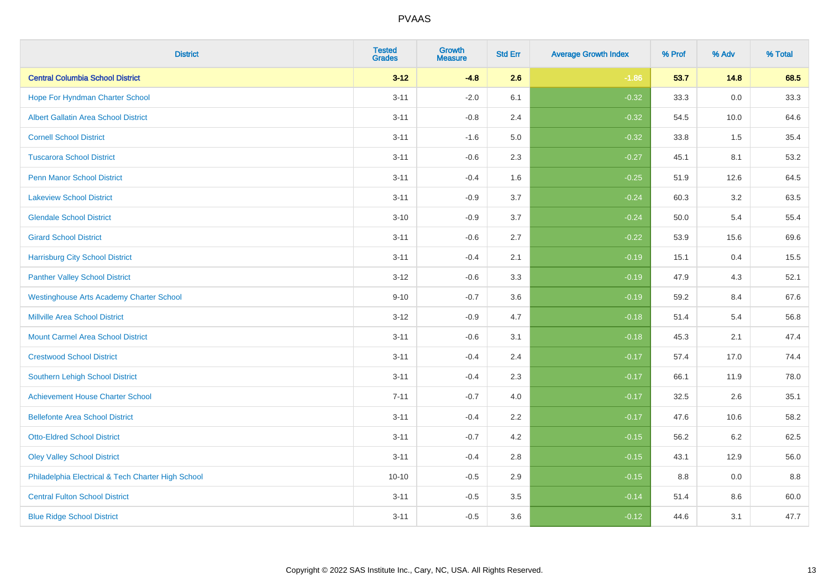| <b>District</b>                                    | <b>Tested</b><br><b>Grades</b> | <b>Growth</b><br><b>Measure</b> | <b>Std Err</b> | <b>Average Growth Index</b> | % Prof | % Adv   | % Total |
|----------------------------------------------------|--------------------------------|---------------------------------|----------------|-----------------------------|--------|---------|---------|
| <b>Central Columbia School District</b>            | $3 - 12$                       | $-4.8$                          | 2.6            | $-1.86$                     | 53.7   | 14.8    | 68.5    |
| Hope For Hyndman Charter School                    | $3 - 11$                       | $-2.0$                          | 6.1            | $-0.32$                     | 33.3   | 0.0     | 33.3    |
| <b>Albert Gallatin Area School District</b>        | $3 - 11$                       | $-0.8$                          | 2.4            | $-0.32$                     | 54.5   | 10.0    | 64.6    |
| <b>Cornell School District</b>                     | $3 - 11$                       | $-1.6$                          | 5.0            | $-0.32$                     | 33.8   | 1.5     | 35.4    |
| <b>Tuscarora School District</b>                   | $3 - 11$                       | $-0.6$                          | 2.3            | $-0.27$                     | 45.1   | 8.1     | 53.2    |
| <b>Penn Manor School District</b>                  | $3 - 11$                       | $-0.4$                          | 1.6            | $-0.25$                     | 51.9   | 12.6    | 64.5    |
| <b>Lakeview School District</b>                    | $3 - 11$                       | $-0.9$                          | 3.7            | $-0.24$                     | 60.3   | 3.2     | 63.5    |
| <b>Glendale School District</b>                    | $3 - 10$                       | $-0.9$                          | 3.7            | $-0.24$                     | 50.0   | 5.4     | 55.4    |
| <b>Girard School District</b>                      | $3 - 11$                       | $-0.6$                          | 2.7            | $-0.22$                     | 53.9   | 15.6    | 69.6    |
| <b>Harrisburg City School District</b>             | $3 - 11$                       | $-0.4$                          | 2.1            | $-0.19$                     | 15.1   | 0.4     | 15.5    |
| <b>Panther Valley School District</b>              | $3 - 12$                       | $-0.6$                          | 3.3            | $-0.19$                     | 47.9   | 4.3     | 52.1    |
| <b>Westinghouse Arts Academy Charter School</b>    | $9 - 10$                       | $-0.7$                          | 3.6            | $-0.19$                     | 59.2   | 8.4     | 67.6    |
| <b>Millville Area School District</b>              | $3 - 12$                       | $-0.9$                          | 4.7            | $-0.18$                     | 51.4   | 5.4     | 56.8    |
| <b>Mount Carmel Area School District</b>           | $3 - 11$                       | $-0.6$                          | 3.1            | $-0.18$                     | 45.3   | 2.1     | 47.4    |
| <b>Crestwood School District</b>                   | $3 - 11$                       | $-0.4$                          | 2.4            | $-0.17$                     | 57.4   | 17.0    | 74.4    |
| Southern Lehigh School District                    | $3 - 11$                       | $-0.4$                          | 2.3            | $-0.17$                     | 66.1   | 11.9    | 78.0    |
| <b>Achievement House Charter School</b>            | $7 - 11$                       | $-0.7$                          | 4.0            | $-0.17$                     | 32.5   | $2.6\,$ | 35.1    |
| <b>Bellefonte Area School District</b>             | $3 - 11$                       | $-0.4$                          | 2.2            | $-0.17$                     | 47.6   | 10.6    | 58.2    |
| <b>Otto-Eldred School District</b>                 | $3 - 11$                       | $-0.7$                          | 4.2            | $-0.15$                     | 56.2   | $6.2\,$ | 62.5    |
| <b>Oley Valley School District</b>                 | $3 - 11$                       | $-0.4$                          | 2.8            | $-0.15$                     | 43.1   | 12.9    | 56.0    |
| Philadelphia Electrical & Tech Charter High School | $10 - 10$                      | $-0.5$                          | 2.9            | $-0.15$                     | 8.8    | 0.0     | 8.8     |
| <b>Central Fulton School District</b>              | $3 - 11$                       | $-0.5$                          | 3.5            | $-0.14$                     | 51.4   | 8.6     | 60.0    |
| <b>Blue Ridge School District</b>                  | $3 - 11$                       | $-0.5$                          | 3.6            | $-0.12$                     | 44.6   | 3.1     | 47.7    |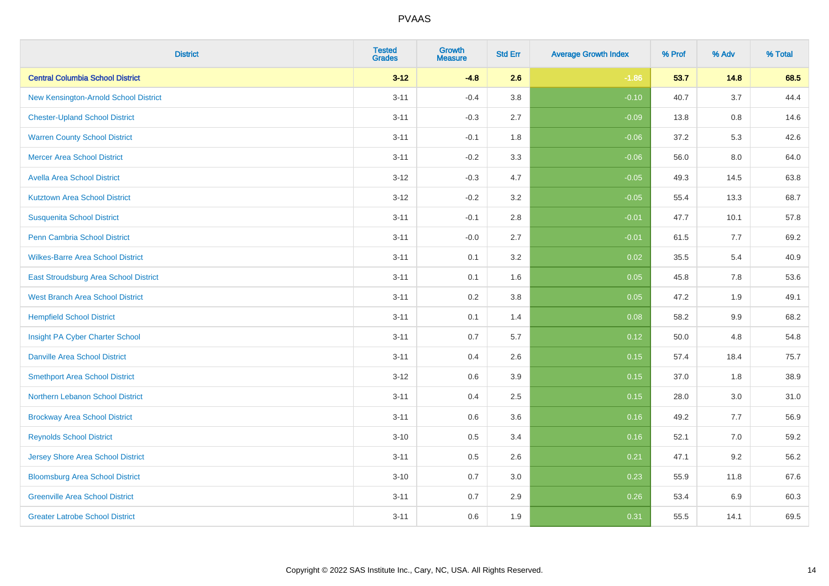| <b>District</b>                          | <b>Tested</b><br><b>Grades</b> | <b>Growth</b><br><b>Measure</b> | <b>Std Err</b> | <b>Average Growth Index</b> | % Prof | % Adv | % Total |
|------------------------------------------|--------------------------------|---------------------------------|----------------|-----------------------------|--------|-------|---------|
| <b>Central Columbia School District</b>  | $3 - 12$                       | $-4.8$                          | 2.6            | $-1.86$                     | 53.7   | 14.8  | 68.5    |
| New Kensington-Arnold School District    | $3 - 11$                       | $-0.4$                          | 3.8            | $-0.10$                     | 40.7   | 3.7   | 44.4    |
| <b>Chester-Upland School District</b>    | $3 - 11$                       | $-0.3$                          | 2.7            | $-0.09$                     | 13.8   | 0.8   | 14.6    |
| <b>Warren County School District</b>     | $3 - 11$                       | $-0.1$                          | 1.8            | $-0.06$                     | 37.2   | 5.3   | 42.6    |
| <b>Mercer Area School District</b>       | $3 - 11$                       | $-0.2$                          | 3.3            | $-0.06$                     | 56.0   | 8.0   | 64.0    |
| <b>Avella Area School District</b>       | $3 - 12$                       | $-0.3$                          | 4.7            | $-0.05$                     | 49.3   | 14.5  | 63.8    |
| <b>Kutztown Area School District</b>     | $3 - 12$                       | $-0.2$                          | 3.2            | $-0.05$                     | 55.4   | 13.3  | 68.7    |
| <b>Susquenita School District</b>        | $3 - 11$                       | $-0.1$                          | 2.8            | $-0.01$                     | 47.7   | 10.1  | 57.8    |
| <b>Penn Cambria School District</b>      | $3 - 11$                       | $-0.0$                          | 2.7            | $-0.01$                     | 61.5   | 7.7   | 69.2    |
| <b>Wilkes-Barre Area School District</b> | $3 - 11$                       | 0.1                             | 3.2            | 0.02                        | 35.5   | 5.4   | 40.9    |
| East Stroudsburg Area School District    | $3 - 11$                       | 0.1                             | 1.6            | 0.05                        | 45.8   | 7.8   | 53.6    |
| <b>West Branch Area School District</b>  | $3 - 11$                       | 0.2                             | 3.8            | 0.05                        | 47.2   | 1.9   | 49.1    |
| <b>Hempfield School District</b>         | $3 - 11$                       | 0.1                             | 1.4            | 0.08                        | 58.2   | 9.9   | 68.2    |
| Insight PA Cyber Charter School          | $3 - 11$                       | 0.7                             | 5.7            | 0.12                        | 50.0   | 4.8   | 54.8    |
| <b>Danville Area School District</b>     | $3 - 11$                       | 0.4                             | 2.6            | 0.15                        | 57.4   | 18.4  | 75.7    |
| <b>Smethport Area School District</b>    | $3 - 12$                       | 0.6                             | 3.9            | 0.15                        | 37.0   | 1.8   | 38.9    |
| Northern Lebanon School District         | $3 - 11$                       | 0.4                             | 2.5            | 0.15                        | 28.0   | 3.0   | 31.0    |
| <b>Brockway Area School District</b>     | $3 - 11$                       | 0.6                             | 3.6            | 0.16                        | 49.2   | 7.7   | 56.9    |
| <b>Reynolds School District</b>          | $3 - 10$                       | 0.5                             | 3.4            | 0.16                        | 52.1   | 7.0   | 59.2    |
| <b>Jersey Shore Area School District</b> | $3 - 11$                       | 0.5                             | 2.6            | 0.21                        | 47.1   | 9.2   | 56.2    |
| <b>Bloomsburg Area School District</b>   | $3 - 10$                       | 0.7                             | 3.0            | 0.23                        | 55.9   | 11.8  | 67.6    |
| <b>Greenville Area School District</b>   | $3 - 11$                       | 0.7                             | 2.9            | 0.26                        | 53.4   | 6.9   | 60.3    |
| <b>Greater Latrobe School District</b>   | $3 - 11$                       | 0.6                             | 1.9            | 0.31                        | 55.5   | 14.1  | 69.5    |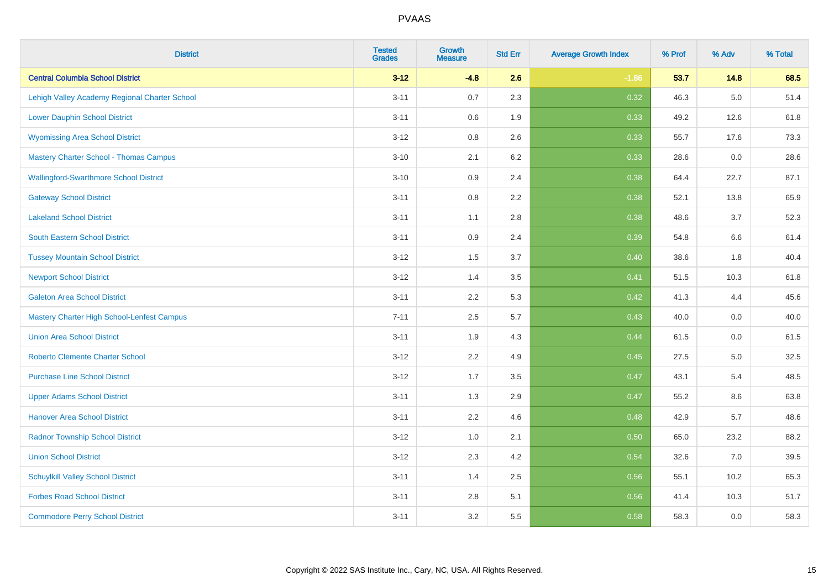| <b>District</b>                                   | <b>Tested</b><br><b>Grades</b> | <b>Growth</b><br><b>Measure</b> | <b>Std Err</b> | <b>Average Growth Index</b> | % Prof | % Adv   | % Total |
|---------------------------------------------------|--------------------------------|---------------------------------|----------------|-----------------------------|--------|---------|---------|
| <b>Central Columbia School District</b>           | $3 - 12$                       | $-4.8$                          | 2.6            | $-1.86$                     | 53.7   | 14.8    | 68.5    |
| Lehigh Valley Academy Regional Charter School     | $3 - 11$                       | 0.7                             | 2.3            | 0.32                        | 46.3   | $5.0\,$ | 51.4    |
| <b>Lower Dauphin School District</b>              | $3 - 11$                       | 0.6                             | 1.9            | 0.33                        | 49.2   | 12.6    | 61.8    |
| <b>Wyomissing Area School District</b>            | $3 - 12$                       | 0.8                             | 2.6            | 0.33                        | 55.7   | 17.6    | 73.3    |
| <b>Mastery Charter School - Thomas Campus</b>     | $3 - 10$                       | 2.1                             | 6.2            | 0.33                        | 28.6   | 0.0     | 28.6    |
| <b>Wallingford-Swarthmore School District</b>     | $3 - 10$                       | 0.9                             | 2.4            | 0.38                        | 64.4   | 22.7    | 87.1    |
| <b>Gateway School District</b>                    | $3 - 11$                       | 0.8                             | 2.2            | 0.38                        | 52.1   | 13.8    | 65.9    |
| <b>Lakeland School District</b>                   | $3 - 11$                       | 1.1                             | 2.8            | 0.38                        | 48.6   | 3.7     | 52.3    |
| <b>South Eastern School District</b>              | $3 - 11$                       | 0.9                             | 2.4            | 0.39                        | 54.8   | 6.6     | 61.4    |
| <b>Tussey Mountain School District</b>            | $3 - 12$                       | 1.5                             | 3.7            | 0.40                        | 38.6   | 1.8     | 40.4    |
| <b>Newport School District</b>                    | $3 - 12$                       | 1.4                             | 3.5            | 0.41                        | 51.5   | 10.3    | 61.8    |
| <b>Galeton Area School District</b>               | $3 - 11$                       | 2.2                             | 5.3            | 0.42                        | 41.3   | 4.4     | 45.6    |
| <b>Mastery Charter High School-Lenfest Campus</b> | $7 - 11$                       | 2.5                             | 5.7            | 0.43                        | 40.0   | $0.0\,$ | 40.0    |
| <b>Union Area School District</b>                 | $3 - 11$                       | 1.9                             | 4.3            | 0.44                        | 61.5   | 0.0     | 61.5    |
| <b>Roberto Clemente Charter School</b>            | $3 - 12$                       | 2.2                             | 4.9            | $\boxed{0.45}$              | 27.5   | $5.0\,$ | 32.5    |
| <b>Purchase Line School District</b>              | $3 - 12$                       | 1.7                             | 3.5            | 0.47                        | 43.1   | 5.4     | 48.5    |
| <b>Upper Adams School District</b>                | $3 - 11$                       | 1.3                             | 2.9            | 0.47                        | 55.2   | 8.6     | 63.8    |
| <b>Hanover Area School District</b>               | $3 - 11$                       | 2.2                             | 4.6            | 0.48                        | 42.9   | 5.7     | 48.6    |
| <b>Radnor Township School District</b>            | $3 - 12$                       | 1.0                             | 2.1            | 0.50                        | 65.0   | 23.2    | 88.2    |
| <b>Union School District</b>                      | $3 - 12$                       | 2.3                             | 4.2            | 0.54                        | 32.6   | 7.0     | 39.5    |
| <b>Schuylkill Valley School District</b>          | $3 - 11$                       | 1.4                             | 2.5            | 0.56                        | 55.1   | 10.2    | 65.3    |
| <b>Forbes Road School District</b>                | $3 - 11$                       | 2.8                             | 5.1            | 0.56                        | 41.4   | 10.3    | 51.7    |
| <b>Commodore Perry School District</b>            | $3 - 11$                       | 3.2                             | 5.5            | 0.58                        | 58.3   | 0.0     | 58.3    |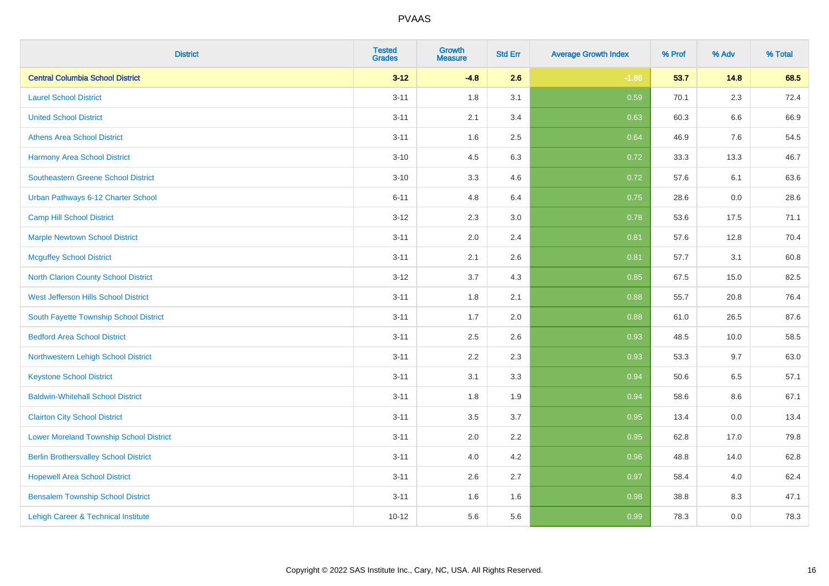| <b>District</b>                                | <b>Tested</b><br><b>Grades</b> | <b>Growth</b><br><b>Measure</b> | <b>Std Err</b> | <b>Average Growth Index</b> | % Prof | % Adv   | % Total |
|------------------------------------------------|--------------------------------|---------------------------------|----------------|-----------------------------|--------|---------|---------|
| <b>Central Columbia School District</b>        | $3 - 12$                       | $-4.8$                          | 2.6            | $-1.86$                     | 53.7   | 14.8    | 68.5    |
| <b>Laurel School District</b>                  | $3 - 11$                       | 1.8                             | 3.1            | 0.59                        | 70.1   | $2.3\,$ | 72.4    |
| <b>United School District</b>                  | $3 - 11$                       | 2.1                             | 3.4            | 0.63                        | 60.3   | 6.6     | 66.9    |
| <b>Athens Area School District</b>             | $3 - 11$                       | 1.6                             | 2.5            | 0.64                        | 46.9   | 7.6     | 54.5    |
| <b>Harmony Area School District</b>            | $3 - 10$                       | 4.5                             | 6.3            | 0.72                        | 33.3   | 13.3    | 46.7    |
| Southeastern Greene School District            | $3 - 10$                       | 3.3                             | 4.6            | 0.72                        | 57.6   | 6.1     | 63.6    |
| Urban Pathways 6-12 Charter School             | $6 - 11$                       | 4.8                             | 6.4            | 0.75                        | 28.6   | 0.0     | 28.6    |
| <b>Camp Hill School District</b>               | $3 - 12$                       | 2.3                             | 3.0            | 0.78                        | 53.6   | 17.5    | 71.1    |
| <b>Marple Newtown School District</b>          | $3 - 11$                       | 2.0                             | 2.4            | 0.81                        | 57.6   | 12.8    | 70.4    |
| <b>Mcguffey School District</b>                | $3 - 11$                       | 2.1                             | 2.6            | 0.81                        | 57.7   | 3.1     | 60.8    |
| <b>North Clarion County School District</b>    | $3 - 12$                       | 3.7                             | 4.3            | 0.85                        | 67.5   | 15.0    | 82.5    |
| West Jefferson Hills School District           | $3 - 11$                       | 1.8                             | 2.1            | 0.88                        | 55.7   | 20.8    | 76.4    |
| South Fayette Township School District         | $3 - 11$                       | 1.7                             | 2.0            | 0.88                        | 61.0   | 26.5    | 87.6    |
| <b>Bedford Area School District</b>            | $3 - 11$                       | 2.5                             | 2.6            | 0.93                        | 48.5   | 10.0    | 58.5    |
| Northwestern Lehigh School District            | $3 - 11$                       | 2.2                             | 2.3            | 0.93                        | 53.3   | 9.7     | 63.0    |
| <b>Keystone School District</b>                | $3 - 11$                       | 3.1                             | 3.3            | 0.94                        | 50.6   | 6.5     | 57.1    |
| <b>Baldwin-Whitehall School District</b>       | $3 - 11$                       | 1.8                             | 1.9            | 0.94                        | 58.6   | 8.6     | 67.1    |
| <b>Clairton City School District</b>           | $3 - 11$                       | 3.5                             | 3.7            | 0.95                        | 13.4   | 0.0     | 13.4    |
| <b>Lower Moreland Township School District</b> | $3 - 11$                       | 2.0                             | 2.2            | 0.95                        | 62.8   | 17.0    | 79.8    |
| <b>Berlin Brothersvalley School District</b>   | $3 - 11$                       | 4.0                             | 4.2            | 0.96                        | 48.8   | 14.0    | 62.8    |
| <b>Hopewell Area School District</b>           | $3 - 11$                       | 2.6                             | 2.7            | 0.97                        | 58.4   | 4.0     | 62.4    |
| <b>Bensalem Township School District</b>       | $3 - 11$                       | 1.6                             | 1.6            | 0.98                        | 38.8   | 8.3     | 47.1    |
| Lehigh Career & Technical Institute            | $10 - 12$                      | 5.6                             | 5.6            | 0.99                        | 78.3   | 0.0     | 78.3    |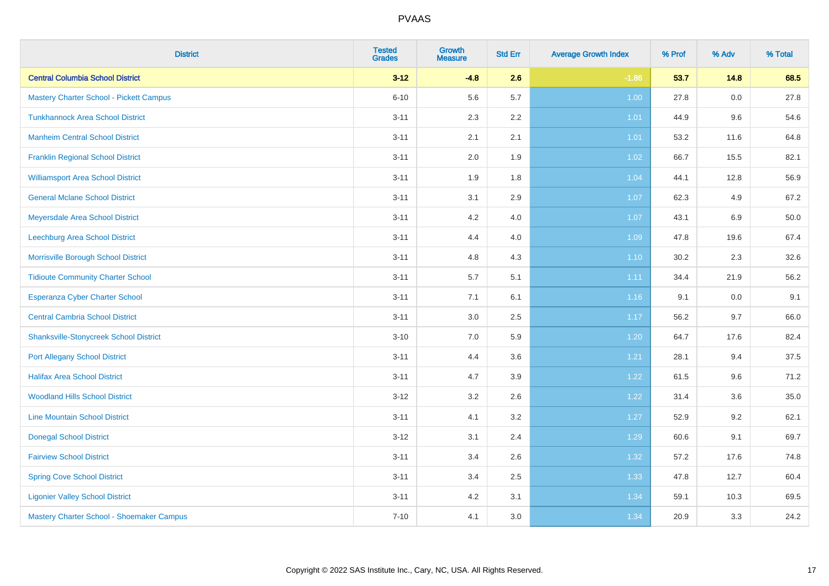| <b>District</b>                                | <b>Tested</b><br><b>Grades</b> | <b>Growth</b><br><b>Measure</b> | <b>Std Err</b> | <b>Average Growth Index</b> | % Prof | % Adv | % Total |
|------------------------------------------------|--------------------------------|---------------------------------|----------------|-----------------------------|--------|-------|---------|
| <b>Central Columbia School District</b>        | $3 - 12$                       | $-4.8$                          | 2.6            | $-1.86$                     | 53.7   | 14.8  | 68.5    |
| <b>Mastery Charter School - Pickett Campus</b> | $6 - 10$                       | 5.6                             | 5.7            | 1.00                        | 27.8   | 0.0   | 27.8    |
| <b>Tunkhannock Area School District</b>        | $3 - 11$                       | 2.3                             | 2.2            | 1.01                        | 44.9   | 9.6   | 54.6    |
| <b>Manheim Central School District</b>         | $3 - 11$                       | 2.1                             | 2.1            | 1.01                        | 53.2   | 11.6  | 64.8    |
| <b>Franklin Regional School District</b>       | $3 - 11$                       | 2.0                             | 1.9            | 1.02                        | 66.7   | 15.5  | 82.1    |
| <b>Williamsport Area School District</b>       | $3 - 11$                       | 1.9                             | 1.8            | 1.04                        | 44.1   | 12.8  | 56.9    |
| <b>General Mclane School District</b>          | $3 - 11$                       | 3.1                             | 2.9            | 1.07                        | 62.3   | 4.9   | 67.2    |
| Meyersdale Area School District                | $3 - 11$                       | 4.2                             | 4.0            | 1.07                        | 43.1   | 6.9   | 50.0    |
| Leechburg Area School District                 | $3 - 11$                       | 4.4                             | 4.0            | 1.09                        | 47.8   | 19.6  | 67.4    |
| Morrisville Borough School District            | $3 - 11$                       | 4.8                             | 4.3            | $1.10$                      | 30.2   | 2.3   | 32.6    |
| <b>Tidioute Community Charter School</b>       | $3 - 11$                       | 5.7                             | 5.1            | 1.11                        | 34.4   | 21.9  | 56.2    |
| <b>Esperanza Cyber Charter School</b>          | $3 - 11$                       | 7.1                             | 6.1            | 1.16                        | 9.1    | 0.0   | 9.1     |
| <b>Central Cambria School District</b>         | $3 - 11$                       | 3.0                             | 2.5            | 1.17                        | 56.2   | 9.7   | 66.0    |
| <b>Shanksville-Stonycreek School District</b>  | $3 - 10$                       | 7.0                             | 5.9            | 1.20                        | 64.7   | 17.6  | 82.4    |
| <b>Port Allegany School District</b>           | $3 - 11$                       | 4.4                             | 3.6            | 1.21                        | 28.1   | 9.4   | 37.5    |
| <b>Halifax Area School District</b>            | $3 - 11$                       | 4.7                             | 3.9            | 1.22                        | 61.5   | 9.6   | 71.2    |
| <b>Woodland Hills School District</b>          | $3 - 12$                       | 3.2                             | 2.6            | 1.22                        | 31.4   | 3.6   | 35.0    |
| <b>Line Mountain School District</b>           | $3 - 11$                       | 4.1                             | 3.2            | 1.27                        | 52.9   | 9.2   | 62.1    |
| <b>Donegal School District</b>                 | $3 - 12$                       | 3.1                             | 2.4            | 1.29                        | 60.6   | 9.1   | 69.7    |
| <b>Fairview School District</b>                | $3 - 11$                       | 3.4                             | 2.6            | 1.32                        | 57.2   | 17.6  | 74.8    |
| <b>Spring Cove School District</b>             | $3 - 11$                       | 3.4                             | 2.5            | 1.33                        | 47.8   | 12.7  | 60.4    |
| <b>Ligonier Valley School District</b>         | $3 - 11$                       | 4.2                             | 3.1            | 1.34                        | 59.1   | 10.3  | 69.5    |
| Mastery Charter School - Shoemaker Campus      | $7 - 10$                       | 4.1                             | 3.0            | 1.34                        | 20.9   | 3.3   | 24.2    |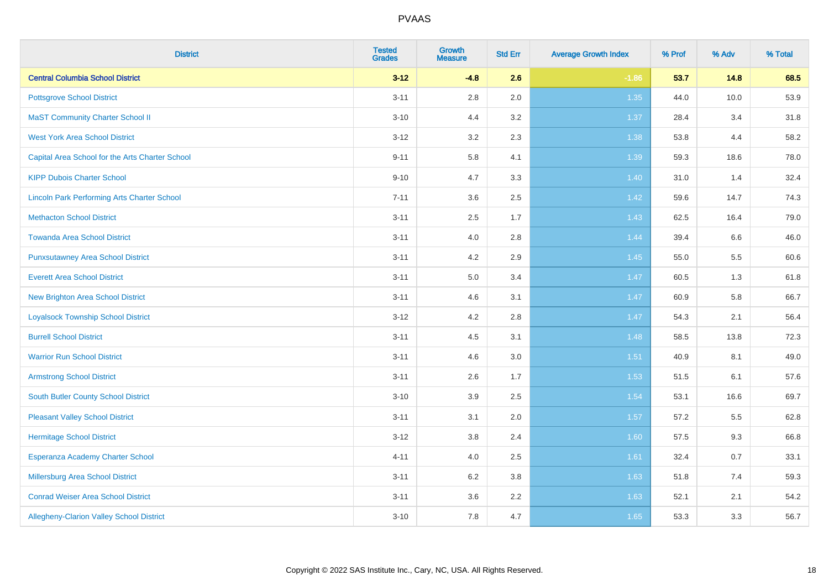| <b>District</b>                                    | <b>Tested</b><br><b>Grades</b> | <b>Growth</b><br><b>Measure</b> | <b>Std Err</b> | <b>Average Growth Index</b> | % Prof | % Adv | % Total |
|----------------------------------------------------|--------------------------------|---------------------------------|----------------|-----------------------------|--------|-------|---------|
| <b>Central Columbia School District</b>            | $3 - 12$                       | $-4.8$                          | 2.6            | $-1.86$                     | 53.7   | 14.8  | 68.5    |
| <b>Pottsgrove School District</b>                  | $3 - 11$                       | $2.8\,$                         | 2.0            | 1.35                        | 44.0   | 10.0  | 53.9    |
| <b>MaST Community Charter School II</b>            | $3 - 10$                       | 4.4                             | 3.2            | 1.37                        | 28.4   | 3.4   | 31.8    |
| <b>West York Area School District</b>              | $3 - 12$                       | 3.2                             | 2.3            | 1.38                        | 53.8   | 4.4   | 58.2    |
| Capital Area School for the Arts Charter School    | $9 - 11$                       | 5.8                             | 4.1            | 1.39                        | 59.3   | 18.6  | 78.0    |
| <b>KIPP Dubois Charter School</b>                  | $9 - 10$                       | 4.7                             | 3.3            | 1.40                        | 31.0   | 1.4   | 32.4    |
| <b>Lincoln Park Performing Arts Charter School</b> | $7 - 11$                       | 3.6                             | 2.5            | 1.42                        | 59.6   | 14.7  | 74.3    |
| <b>Methacton School District</b>                   | $3 - 11$                       | 2.5                             | 1.7            | 1.43                        | 62.5   | 16.4  | 79.0    |
| <b>Towanda Area School District</b>                | $3 - 11$                       | 4.0                             | 2.8            | 1.44                        | 39.4   | 6.6   | 46.0    |
| <b>Punxsutawney Area School District</b>           | $3 - 11$                       | 4.2                             | 2.9            | 1.45                        | 55.0   | 5.5   | 60.6    |
| <b>Everett Area School District</b>                | $3 - 11$                       | 5.0                             | 3.4            | 1.47                        | 60.5   | 1.3   | 61.8    |
| <b>New Brighton Area School District</b>           | $3 - 11$                       | 4.6                             | 3.1            | $1.47$                      | 60.9   | 5.8   | 66.7    |
| <b>Loyalsock Township School District</b>          | $3 - 12$                       | 4.2                             | 2.8            | 1.47                        | 54.3   | 2.1   | 56.4    |
| <b>Burrell School District</b>                     | $3 - 11$                       | 4.5                             | 3.1            | 1.48                        | 58.5   | 13.8  | 72.3    |
| <b>Warrior Run School District</b>                 | $3 - 11$                       | 4.6                             | 3.0            | 1.51                        | 40.9   | 8.1   | 49.0    |
| <b>Armstrong School District</b>                   | $3 - 11$                       | 2.6                             | 1.7            | 1.53                        | 51.5   | 6.1   | 57.6    |
| <b>South Butler County School District</b>         | $3 - 10$                       | 3.9                             | 2.5            | 1.54                        | 53.1   | 16.6  | 69.7    |
| <b>Pleasant Valley School District</b>             | $3 - 11$                       | 3.1                             | 2.0            | 1.57                        | 57.2   | 5.5   | 62.8    |
| <b>Hermitage School District</b>                   | $3 - 12$                       | $3.8\,$                         | 2.4            | 1.60                        | 57.5   | 9.3   | 66.8    |
| Esperanza Academy Charter School                   | $4 - 11$                       | 4.0                             | 2.5            | 1.61                        | 32.4   | 0.7   | 33.1    |
| Millersburg Area School District                   | $3 - 11$                       | 6.2                             | 3.8            | 1.63                        | 51.8   | 7.4   | 59.3    |
| <b>Conrad Weiser Area School District</b>          | $3 - 11$                       | 3.6                             | 2.2            | 1.63                        | 52.1   | 2.1   | 54.2    |
| Allegheny-Clarion Valley School District           | $3 - 10$                       | 7.8                             | 4.7            | 1.65                        | 53.3   | 3.3   | 56.7    |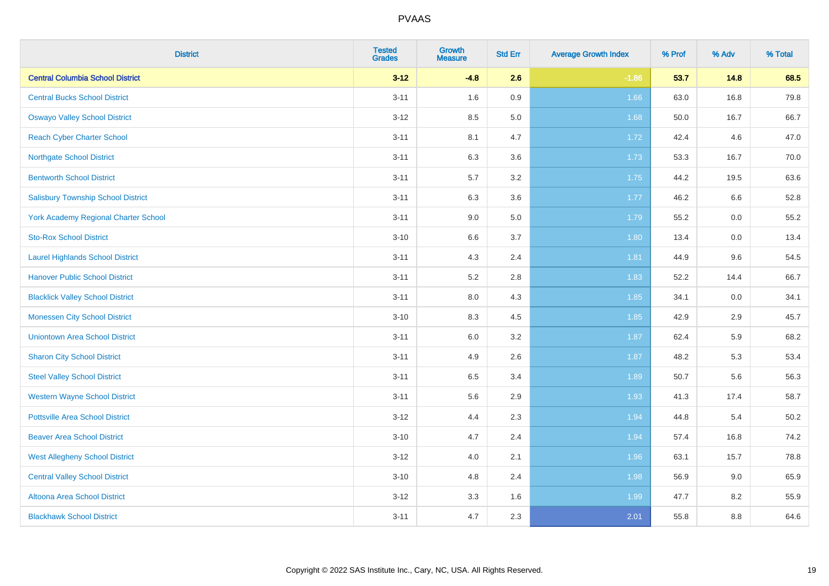| <b>District</b>                           | <b>Tested</b><br><b>Grades</b> | <b>Growth</b><br><b>Measure</b> | <b>Std Err</b> | <b>Average Growth Index</b> | % Prof | % Adv | % Total |
|-------------------------------------------|--------------------------------|---------------------------------|----------------|-----------------------------|--------|-------|---------|
| <b>Central Columbia School District</b>   | $3 - 12$                       | $-4.8$                          | 2.6            | $-1.86$                     | 53.7   | 14.8  | 68.5    |
| <b>Central Bucks School District</b>      | $3 - 11$                       | 1.6                             | 0.9            | 1.66                        | 63.0   | 16.8  | 79.8    |
| <b>Oswayo Valley School District</b>      | $3 - 12$                       | 8.5                             | 5.0            | 1.68                        | 50.0   | 16.7  | 66.7    |
| <b>Reach Cyber Charter School</b>         | $3 - 11$                       | 8.1                             | 4.7            | 1.72                        | 42.4   | 4.6   | 47.0    |
| <b>Northgate School District</b>          | $3 - 11$                       | 6.3                             | 3.6            | 1.73                        | 53.3   | 16.7  | 70.0    |
| <b>Bentworth School District</b>          | $3 - 11$                       | 5.7                             | 3.2            | 1.75                        | 44.2   | 19.5  | 63.6    |
| <b>Salisbury Township School District</b> | $3 - 11$                       | 6.3                             | 3.6            | 1.77                        | 46.2   | 6.6   | 52.8    |
| York Academy Regional Charter School      | $3 - 11$                       | 9.0                             | 5.0            | 1.79                        | 55.2   | 0.0   | 55.2    |
| <b>Sto-Rox School District</b>            | $3 - 10$                       | $6.6\,$                         | 3.7            | 1.80                        | 13.4   | 0.0   | 13.4    |
| <b>Laurel Highlands School District</b>   | $3 - 11$                       | 4.3                             | 2.4            | 1.81                        | 44.9   | 9.6   | 54.5    |
| <b>Hanover Public School District</b>     | $3 - 11$                       | 5.2                             | 2.8            | 1.83                        | 52.2   | 14.4  | 66.7    |
| <b>Blacklick Valley School District</b>   | $3 - 11$                       | 8.0                             | 4.3            | 1.85                        | 34.1   | 0.0   | 34.1    |
| <b>Monessen City School District</b>      | $3 - 10$                       | 8.3                             | 4.5            | 1.85                        | 42.9   | 2.9   | 45.7    |
| <b>Uniontown Area School District</b>     | $3 - 11$                       | 6.0                             | 3.2            | 1.87                        | 62.4   | 5.9   | 68.2    |
| <b>Sharon City School District</b>        | $3 - 11$                       | 4.9                             | 2.6            | 1.87                        | 48.2   | 5.3   | 53.4    |
| <b>Steel Valley School District</b>       | $3 - 11$                       | 6.5                             | 3.4            | 1.89                        | 50.7   | 5.6   | 56.3    |
| <b>Western Wayne School District</b>      | $3 - 11$                       | 5.6                             | 2.9            | 1.93                        | 41.3   | 17.4  | 58.7    |
| <b>Pottsville Area School District</b>    | $3 - 12$                       | 4.4                             | 2.3            | 1.94                        | 44.8   | 5.4   | 50.2    |
| <b>Beaver Area School District</b>        | $3 - 10$                       | 4.7                             | 2.4            | 1.94                        | 57.4   | 16.8  | 74.2    |
| <b>West Allegheny School District</b>     | $3 - 12$                       | 4.0                             | 2.1            | 1.96                        | 63.1   | 15.7  | 78.8    |
| <b>Central Valley School District</b>     | $3 - 10$                       | 4.8                             | 2.4            | 1.98                        | 56.9   | 9.0   | 65.9    |
| Altoona Area School District              | $3 - 12$                       | 3.3                             | 1.6            | 1.99                        | 47.7   | 8.2   | 55.9    |
| <b>Blackhawk School District</b>          | $3 - 11$                       | 4.7                             | 2.3            | 2.01                        | 55.8   | 8.8   | 64.6    |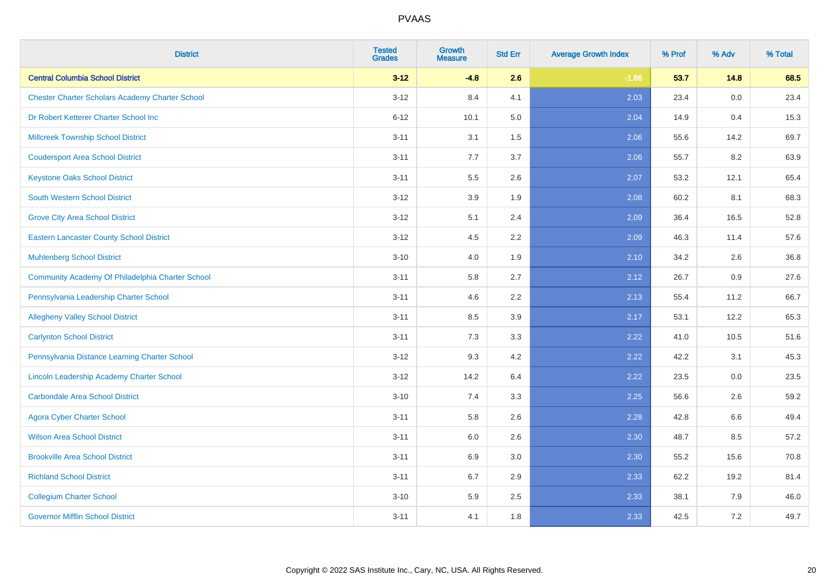| <b>District</b>                                        | <b>Tested</b><br><b>Grades</b> | <b>Growth</b><br><b>Measure</b> | <b>Std Err</b> | <b>Average Growth Index</b> | % Prof | % Adv | % Total |
|--------------------------------------------------------|--------------------------------|---------------------------------|----------------|-----------------------------|--------|-------|---------|
| <b>Central Columbia School District</b>                | $3 - 12$                       | $-4.8$                          | 2.6            | $-1.86$                     | 53.7   | 14.8  | 68.5    |
| <b>Chester Charter Scholars Academy Charter School</b> | $3 - 12$                       | 8.4                             | 4.1            | 2.03                        | 23.4   | 0.0   | 23.4    |
| Dr Robert Ketterer Charter School Inc                  | $6 - 12$                       | 10.1                            | 5.0            | 2.04                        | 14.9   | 0.4   | 15.3    |
| <b>Millcreek Township School District</b>              | $3 - 11$                       | 3.1                             | 1.5            | 2.06                        | 55.6   | 14.2  | 69.7    |
| <b>Coudersport Area School District</b>                | $3 - 11$                       | 7.7                             | 3.7            | 2.06                        | 55.7   | 8.2   | 63.9    |
| <b>Keystone Oaks School District</b>                   | $3 - 11$                       | 5.5                             | 2.6            | 2.07                        | 53.2   | 12.1  | 65.4    |
| <b>South Western School District</b>                   | $3 - 12$                       | 3.9                             | 1.9            | 2.08                        | 60.2   | 8.1   | 68.3    |
| <b>Grove City Area School District</b>                 | $3 - 12$                       | 5.1                             | 2.4            | 2.09                        | 36.4   | 16.5  | 52.8    |
| <b>Eastern Lancaster County School District</b>        | $3 - 12$                       | 4.5                             | 2.2            | 2.09                        | 46.3   | 11.4  | 57.6    |
| <b>Muhlenberg School District</b>                      | $3 - 10$                       | 4.0                             | 1.9            | 2.10                        | 34.2   | 2.6   | 36.8    |
| Community Academy Of Philadelphia Charter School       | $3 - 11$                       | 5.8                             | 2.7            | 2.12                        | 26.7   | 0.9   | 27.6    |
| Pennsylvania Leadership Charter School                 | $3 - 11$                       | 4.6                             | 2.2            | 2.13                        | 55.4   | 11.2  | 66.7    |
| <b>Allegheny Valley School District</b>                | $3 - 11$                       | 8.5                             | 3.9            | 2.17                        | 53.1   | 12.2  | 65.3    |
| <b>Carlynton School District</b>                       | $3 - 11$                       | 7.3                             | 3.3            | 2.22                        | 41.0   | 10.5  | 51.6    |
| Pennsylvania Distance Learning Charter School          | $3 - 12$                       | 9.3                             | 4.2            | 2.22                        | 42.2   | 3.1   | 45.3    |
| Lincoln Leadership Academy Charter School              | $3 - 12$                       | 14.2                            | 6.4            | 2.22                        | 23.5   | 0.0   | 23.5    |
| <b>Carbondale Area School District</b>                 | $3 - 10$                       | 7.4                             | 3.3            | 2.25                        | 56.6   | 2.6   | 59.2    |
| <b>Agora Cyber Charter School</b>                      | $3 - 11$                       | 5.8                             | 2.6            | 2.28                        | 42.8   | 6.6   | 49.4    |
| <b>Wilson Area School District</b>                     | $3 - 11$                       | 6.0                             | 2.6            | 2.30                        | 48.7   | 8.5   | 57.2    |
| <b>Brookville Area School District</b>                 | $3 - 11$                       | 6.9                             | 3.0            | 2.30                        | 55.2   | 15.6  | 70.8    |
| <b>Richland School District</b>                        | $3 - 11$                       | 6.7                             | 2.9            | 2.33                        | 62.2   | 19.2  | 81.4    |
| <b>Collegium Charter School</b>                        | $3 - 10$                       | 5.9                             | 2.5            | 2.33                        | 38.1   | 7.9   | 46.0    |
| <b>Governor Mifflin School District</b>                | $3 - 11$                       | 4.1                             | 1.8            | 2.33                        | 42.5   | 7.2   | 49.7    |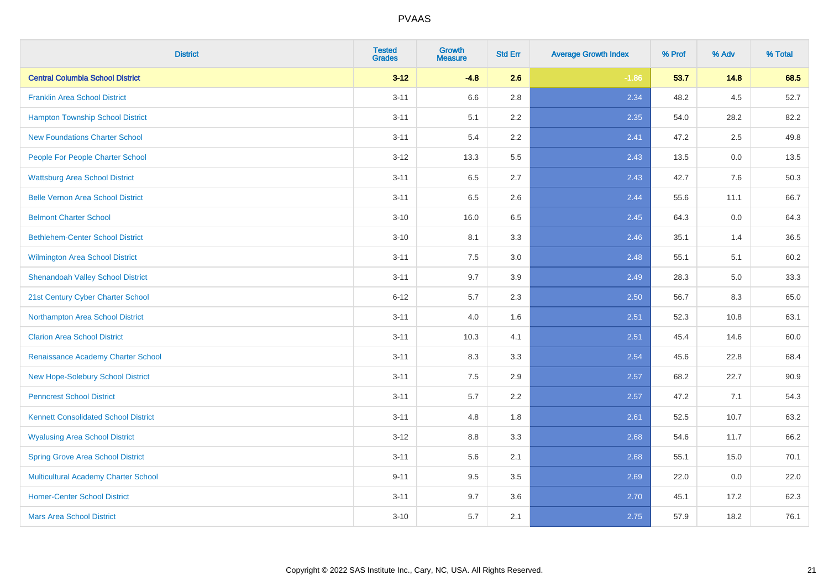| <b>District</b>                             | <b>Tested</b><br><b>Grades</b> | <b>Growth</b><br><b>Measure</b> | <b>Std Err</b> | <b>Average Growth Index</b> | % Prof | % Adv | % Total |
|---------------------------------------------|--------------------------------|---------------------------------|----------------|-----------------------------|--------|-------|---------|
| <b>Central Columbia School District</b>     | $3 - 12$                       | $-4.8$                          | 2.6            | $-1.86$                     | 53.7   | 14.8  | 68.5    |
| <b>Franklin Area School District</b>        | $3 - 11$                       | 6.6                             | 2.8            | 2.34                        | 48.2   | 4.5   | 52.7    |
| <b>Hampton Township School District</b>     | $3 - 11$                       | 5.1                             | 2.2            | 2.35                        | 54.0   | 28.2  | 82.2    |
| <b>New Foundations Charter School</b>       | $3 - 11$                       | 5.4                             | 2.2            | 2.41                        | 47.2   | 2.5   | 49.8    |
| People For People Charter School            | $3 - 12$                       | 13.3                            | 5.5            | 2.43                        | 13.5   | 0.0   | 13.5    |
| <b>Wattsburg Area School District</b>       | $3 - 11$                       | 6.5                             | 2.7            | 2.43                        | 42.7   | 7.6   | 50.3    |
| <b>Belle Vernon Area School District</b>    | $3 - 11$                       | 6.5                             | 2.6            | 2.44                        | 55.6   | 11.1  | 66.7    |
| <b>Belmont Charter School</b>               | $3 - 10$                       | 16.0                            | 6.5            | 2.45                        | 64.3   | 0.0   | 64.3    |
| <b>Bethlehem-Center School District</b>     | $3 - 10$                       | 8.1                             | 3.3            | 2.46                        | 35.1   | 1.4   | 36.5    |
| <b>Wilmington Area School District</b>      | $3 - 11$                       | 7.5                             | 3.0            | 2.48                        | 55.1   | 5.1   | 60.2    |
| <b>Shenandoah Valley School District</b>    | $3 - 11$                       | 9.7                             | 3.9            | 2.49                        | 28.3   | 5.0   | 33.3    |
| 21st Century Cyber Charter School           | $6 - 12$                       | 5.7                             | 2.3            | 2.50                        | 56.7   | 8.3   | 65.0    |
| Northampton Area School District            | $3 - 11$                       | 4.0                             | 1.6            | 2.51                        | 52.3   | 10.8  | 63.1    |
| <b>Clarion Area School District</b>         | $3 - 11$                       | 10.3                            | 4.1            | 2.51                        | 45.4   | 14.6  | 60.0    |
| Renaissance Academy Charter School          | $3 - 11$                       | 8.3                             | 3.3            | 2.54                        | 45.6   | 22.8  | 68.4    |
| New Hope-Solebury School District           | $3 - 11$                       | 7.5                             | 2.9            | 2.57                        | 68.2   | 22.7  | 90.9    |
| <b>Penncrest School District</b>            | $3 - 11$                       | 5.7                             | 2.2            | 2.57                        | 47.2   | 7.1   | 54.3    |
| <b>Kennett Consolidated School District</b> | $3 - 11$                       | 4.8                             | 1.8            | 2.61                        | 52.5   | 10.7  | 63.2    |
| <b>Wyalusing Area School District</b>       | $3 - 12$                       | 8.8                             | 3.3            | 2.68                        | 54.6   | 11.7  | 66.2    |
| <b>Spring Grove Area School District</b>    | $3 - 11$                       | 5.6                             | 2.1            | 2.68                        | 55.1   | 15.0  | 70.1    |
| <b>Multicultural Academy Charter School</b> | $9 - 11$                       | 9.5                             | 3.5            | 2.69                        | 22.0   | 0.0   | 22.0    |
| <b>Homer-Center School District</b>         | $3 - 11$                       | 9.7                             | 3.6            | 2.70                        | 45.1   | 17.2  | 62.3    |
| <b>Mars Area School District</b>            | $3 - 10$                       | 5.7                             | 2.1            | 2.75                        | 57.9   | 18.2  | 76.1    |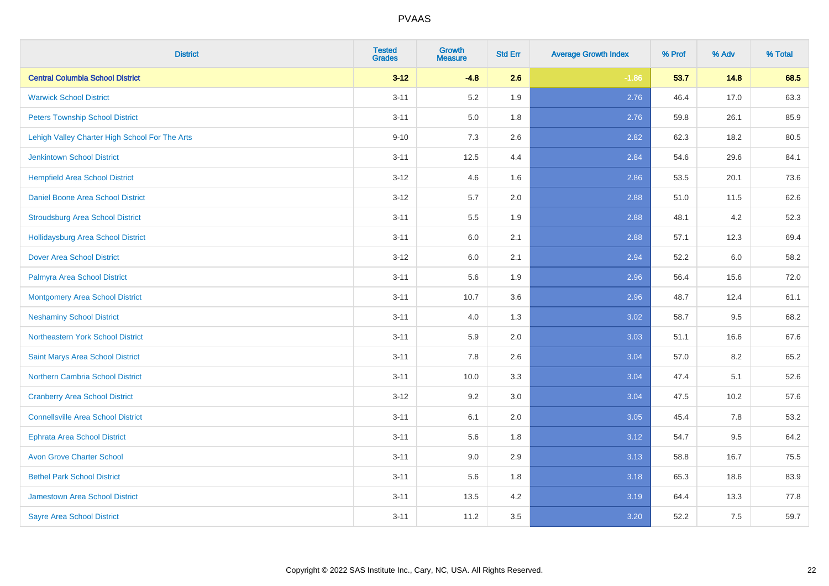| <b>District</b>                                | <b>Tested</b><br><b>Grades</b> | <b>Growth</b><br><b>Measure</b> | <b>Std Err</b> | <b>Average Growth Index</b> | % Prof | % Adv | % Total |
|------------------------------------------------|--------------------------------|---------------------------------|----------------|-----------------------------|--------|-------|---------|
| <b>Central Columbia School District</b>        | $3 - 12$                       | $-4.8$                          | 2.6            | $-1.86$                     | 53.7   | 14.8  | 68.5    |
| <b>Warwick School District</b>                 | $3 - 11$                       | 5.2                             | 1.9            | 2.76                        | 46.4   | 17.0  | 63.3    |
| <b>Peters Township School District</b>         | $3 - 11$                       | 5.0                             | 1.8            | 2.76                        | 59.8   | 26.1  | 85.9    |
| Lehigh Valley Charter High School For The Arts | $9 - 10$                       | 7.3                             | 2.6            | 2.82                        | 62.3   | 18.2  | 80.5    |
| <b>Jenkintown School District</b>              | $3 - 11$                       | 12.5                            | 4.4            | 2.84                        | 54.6   | 29.6  | 84.1    |
| <b>Hempfield Area School District</b>          | $3 - 12$                       | 4.6                             | 1.6            | 2.86                        | 53.5   | 20.1  | 73.6    |
| Daniel Boone Area School District              | $3 - 12$                       | 5.7                             | 2.0            | 2.88                        | 51.0   | 11.5  | 62.6    |
| <b>Stroudsburg Area School District</b>        | $3 - 11$                       | $5.5\,$                         | 1.9            | 2.88                        | 48.1   | 4.2   | 52.3    |
| <b>Hollidaysburg Area School District</b>      | $3 - 11$                       | 6.0                             | 2.1            | 2.88                        | 57.1   | 12.3  | 69.4    |
| <b>Dover Area School District</b>              | $3 - 12$                       | 6.0                             | 2.1            | 2.94                        | 52.2   | 6.0   | 58.2    |
| Palmyra Area School District                   | $3 - 11$                       | 5.6                             | 1.9            | 2.96                        | 56.4   | 15.6  | 72.0    |
| <b>Montgomery Area School District</b>         | $3 - 11$                       | 10.7                            | 3.6            | 2.96                        | 48.7   | 12.4  | 61.1    |
| <b>Neshaminy School District</b>               | $3 - 11$                       | 4.0                             | 1.3            | 3.02                        | 58.7   | 9.5   | 68.2    |
| Northeastern York School District              | $3 - 11$                       | 5.9                             | 2.0            | 3.03                        | 51.1   | 16.6  | 67.6    |
| Saint Marys Area School District               | $3 - 11$                       | 7.8                             | 2.6            | 3.04                        | 57.0   | 8.2   | 65.2    |
| <b>Northern Cambria School District</b>        | $3 - 11$                       | 10.0                            | 3.3            | 3.04                        | 47.4   | 5.1   | 52.6    |
| <b>Cranberry Area School District</b>          | $3 - 12$                       | 9.2                             | 3.0            | 3.04                        | 47.5   | 10.2  | 57.6    |
| <b>Connellsville Area School District</b>      | $3 - 11$                       | 6.1                             | 2.0            | 3.05                        | 45.4   | 7.8   | 53.2    |
| <b>Ephrata Area School District</b>            | $3 - 11$                       | 5.6                             | 1.8            | 3.12                        | 54.7   | 9.5   | 64.2    |
| <b>Avon Grove Charter School</b>               | $3 - 11$                       | 9.0                             | 2.9            | 3.13                        | 58.8   | 16.7  | 75.5    |
| <b>Bethel Park School District</b>             | $3 - 11$                       | 5.6                             | 1.8            | 3.18                        | 65.3   | 18.6  | 83.9    |
| Jamestown Area School District                 | $3 - 11$                       | 13.5                            | 4.2            | 3.19                        | 64.4   | 13.3  | 77.8    |
| <b>Sayre Area School District</b>              | $3 - 11$                       | 11.2                            | 3.5            | 3.20                        | 52.2   | 7.5   | 59.7    |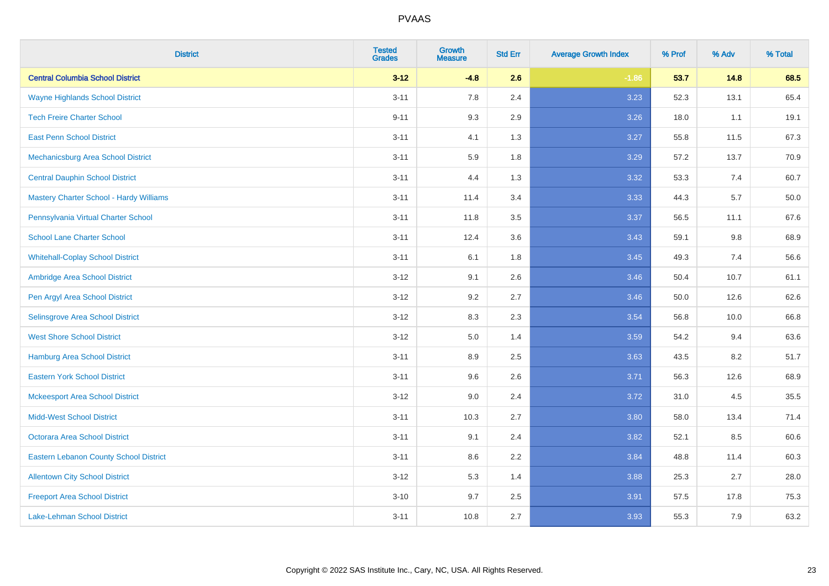| <b>District</b>                                | <b>Tested</b><br><b>Grades</b> | <b>Growth</b><br><b>Measure</b> | <b>Std Err</b> | <b>Average Growth Index</b> | % Prof | % Adv | % Total |
|------------------------------------------------|--------------------------------|---------------------------------|----------------|-----------------------------|--------|-------|---------|
| <b>Central Columbia School District</b>        | $3 - 12$                       | $-4.8$                          | 2.6            | $-1.86$                     | 53.7   | 14.8  | 68.5    |
| <b>Wayne Highlands School District</b>         | $3 - 11$                       | 7.8                             | 2.4            | 3.23                        | 52.3   | 13.1  | 65.4    |
| <b>Tech Freire Charter School</b>              | $9 - 11$                       | 9.3                             | 2.9            | 3.26                        | 18.0   | 1.1   | 19.1    |
| <b>East Penn School District</b>               | $3 - 11$                       | 4.1                             | 1.3            | 3.27                        | 55.8   | 11.5  | 67.3    |
| Mechanicsburg Area School District             | $3 - 11$                       | 5.9                             | 1.8            | 3.29                        | 57.2   | 13.7  | 70.9    |
| <b>Central Dauphin School District</b>         | $3 - 11$                       | 4.4                             | 1.3            | 3.32                        | 53.3   | 7.4   | 60.7    |
| <b>Mastery Charter School - Hardy Williams</b> | $3 - 11$                       | 11.4                            | 3.4            | 3.33                        | 44.3   | 5.7   | 50.0    |
| Pennsylvania Virtual Charter School            | $3 - 11$                       | 11.8                            | 3.5            | 3.37                        | 56.5   | 11.1  | 67.6    |
| <b>School Lane Charter School</b>              | $3 - 11$                       | 12.4                            | 3.6            | 3.43                        | 59.1   | 9.8   | 68.9    |
| <b>Whitehall-Coplay School District</b>        | $3 - 11$                       | 6.1                             | 1.8            | 3.45                        | 49.3   | 7.4   | 56.6    |
| Ambridge Area School District                  | $3 - 12$                       | 9.1                             | 2.6            | 3.46                        | 50.4   | 10.7  | 61.1    |
| Pen Argyl Area School District                 | $3 - 12$                       | 9.2                             | 2.7            | 3.46                        | 50.0   | 12.6  | 62.6    |
| Selinsgrove Area School District               | $3 - 12$                       | 8.3                             | 2.3            | 3.54                        | 56.8   | 10.0  | 66.8    |
| <b>West Shore School District</b>              | $3 - 12$                       | 5.0                             | 1.4            | 3.59                        | 54.2   | 9.4   | 63.6    |
| <b>Hamburg Area School District</b>            | $3 - 11$                       | 8.9                             | 2.5            | 3.63                        | 43.5   | 8.2   | 51.7    |
| <b>Eastern York School District</b>            | $3 - 11$                       | 9.6                             | 2.6            | 3.71                        | 56.3   | 12.6  | 68.9    |
| <b>Mckeesport Area School District</b>         | $3 - 12$                       | 9.0                             | 2.4            | 3.72                        | 31.0   | 4.5   | 35.5    |
| <b>Midd-West School District</b>               | $3 - 11$                       | 10.3                            | 2.7            | 3.80                        | 58.0   | 13.4  | 71.4    |
| <b>Octorara Area School District</b>           | $3 - 11$                       | 9.1                             | 2.4            | 3.82                        | 52.1   | 8.5   | 60.6    |
| <b>Eastern Lebanon County School District</b>  | $3 - 11$                       | 8.6                             | 2.2            | 3.84                        | 48.8   | 11.4  | 60.3    |
| <b>Allentown City School District</b>          | $3 - 12$                       | 5.3                             | 1.4            | 3.88                        | 25.3   | 2.7   | 28.0    |
| <b>Freeport Area School District</b>           | $3 - 10$                       | 9.7                             | 2.5            | 3.91                        | 57.5   | 17.8  | 75.3    |
| <b>Lake-Lehman School District</b>             | $3 - 11$                       | 10.8                            | 2.7            | 3.93                        | 55.3   | 7.9   | 63.2    |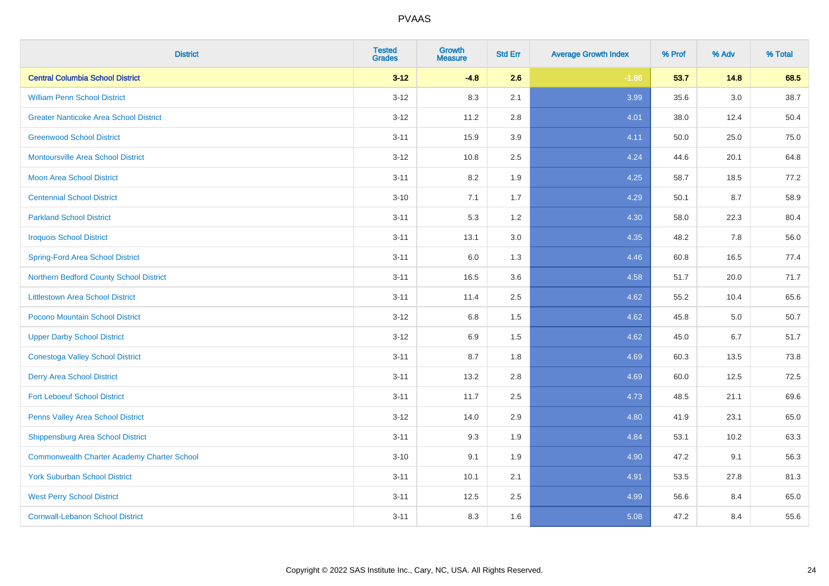| <b>District</b>                                    | <b>Tested</b><br><b>Grades</b> | <b>Growth</b><br><b>Measure</b> | <b>Std Err</b> | <b>Average Growth Index</b> | % Prof | % Adv | % Total |
|----------------------------------------------------|--------------------------------|---------------------------------|----------------|-----------------------------|--------|-------|---------|
| <b>Central Columbia School District</b>            | $3 - 12$                       | $-4.8$                          | 2.6            | $-1.86$                     | 53.7   | 14.8  | 68.5    |
| <b>William Penn School District</b>                | $3 - 12$                       | 8.3                             | 2.1            | 3.99                        | 35.6   | 3.0   | 38.7    |
| <b>Greater Nanticoke Area School District</b>      | $3 - 12$                       | 11.2                            | 2.8            | 4.01                        | 38.0   | 12.4  | 50.4    |
| <b>Greenwood School District</b>                   | $3 - 11$                       | 15.9                            | 3.9            | 4.11                        | 50.0   | 25.0  | 75.0    |
| <b>Montoursville Area School District</b>          | $3 - 12$                       | 10.8                            | 2.5            | 4.24                        | 44.6   | 20.1  | 64.8    |
| Moon Area School District                          | $3 - 11$                       | 8.2                             | 1.9            | 4.25                        | 58.7   | 18.5  | 77.2    |
| <b>Centennial School District</b>                  | $3 - 10$                       | 7.1                             | 1.7            | 4.29                        | 50.1   | 8.7   | 58.9    |
| <b>Parkland School District</b>                    | $3 - 11$                       | 5.3                             | 1.2            | 4.30                        | 58.0   | 22.3  | 80.4    |
| <b>Iroquois School District</b>                    | $3 - 11$                       | 13.1                            | 3.0            | 4.35                        | 48.2   | 7.8   | 56.0    |
| <b>Spring-Ford Area School District</b>            | $3 - 11$                       | 6.0                             | 1.3            | 4.46                        | 60.8   | 16.5  | 77.4    |
| Northern Bedford County School District            | $3 - 11$                       | 16.5                            | 3.6            | 4.58                        | 51.7   | 20.0  | 71.7    |
| <b>Littlestown Area School District</b>            | $3 - 11$                       | 11.4                            | 2.5            | 4.62                        | 55.2   | 10.4  | 65.6    |
| Pocono Mountain School District                    | $3 - 12$                       | $6.8\,$                         | 1.5            | 4.62                        | 45.8   | 5.0   | 50.7    |
| <b>Upper Darby School District</b>                 | $3 - 12$                       | 6.9                             | 1.5            | 4.62                        | 45.0   | 6.7   | 51.7    |
| <b>Conestoga Valley School District</b>            | $3 - 11$                       | 8.7                             | 1.8            | 4.69                        | 60.3   | 13.5  | 73.8    |
| <b>Derry Area School District</b>                  | $3 - 11$                       | 13.2                            | 2.8            | 4.69                        | 60.0   | 12.5  | 72.5    |
| <b>Fort Leboeuf School District</b>                | $3 - 11$                       | 11.7                            | 2.5            | 4.73                        | 48.5   | 21.1  | 69.6    |
| Penns Valley Area School District                  | $3 - 12$                       | 14.0                            | 2.9            | 4.80                        | 41.9   | 23.1  | 65.0    |
| <b>Shippensburg Area School District</b>           | $3 - 11$                       | 9.3                             | 1.9            | 4.84                        | 53.1   | 10.2  | 63.3    |
| <b>Commonwealth Charter Academy Charter School</b> | $3 - 10$                       | 9.1                             | 1.9            | 4.90                        | 47.2   | 9.1   | 56.3    |
| <b>York Suburban School District</b>               | $3 - 11$                       | 10.1                            | 2.1            | 4.91                        | 53.5   | 27.8  | 81.3    |
| <b>West Perry School District</b>                  | $3 - 11$                       | 12.5                            | 2.5            | 4.99                        | 56.6   | 8.4   | 65.0    |
| <b>Cornwall-Lebanon School District</b>            | $3 - 11$                       | 8.3                             | 1.6            | 5.08                        | 47.2   | 8.4   | 55.6    |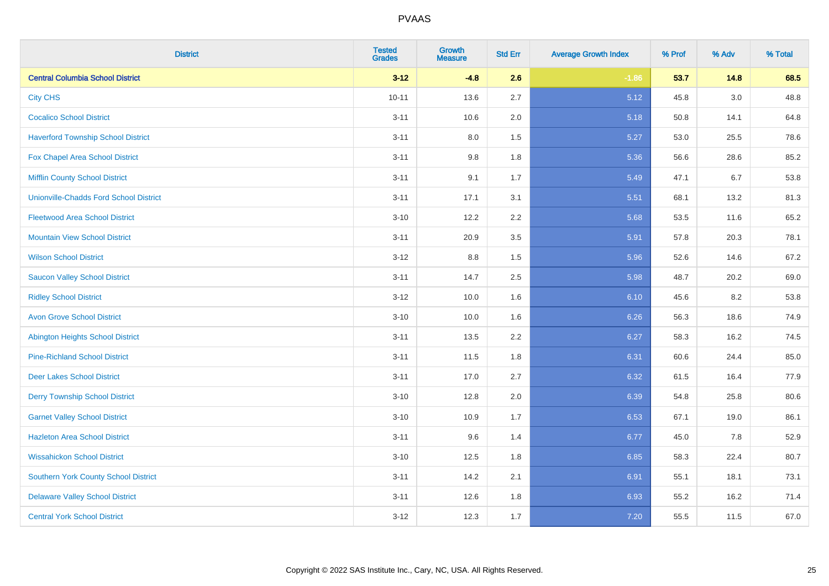| <b>District</b>                               | <b>Tested</b><br><b>Grades</b> | <b>Growth</b><br><b>Measure</b> | <b>Std Err</b> | <b>Average Growth Index</b> | % Prof | % Adv | % Total |
|-----------------------------------------------|--------------------------------|---------------------------------|----------------|-----------------------------|--------|-------|---------|
| <b>Central Columbia School District</b>       | $3 - 12$                       | $-4.8$                          | 2.6            | $-1.86$                     | 53.7   | 14.8  | 68.5    |
| <b>City CHS</b>                               | $10 - 11$                      | 13.6                            | 2.7            | 5.12                        | 45.8   | 3.0   | 48.8    |
| <b>Cocalico School District</b>               | $3 - 11$                       | 10.6                            | 2.0            | 5.18                        | 50.8   | 14.1  | 64.8    |
| <b>Haverford Township School District</b>     | $3 - 11$                       | $8.0\,$                         | 1.5            | 5.27                        | 53.0   | 25.5  | 78.6    |
| Fox Chapel Area School District               | $3 - 11$                       | 9.8                             | 1.8            | 5.36                        | 56.6   | 28.6  | 85.2    |
| <b>Mifflin County School District</b>         | $3 - 11$                       | 9.1                             | 1.7            | 5.49                        | 47.1   | 6.7   | 53.8    |
| <b>Unionville-Chadds Ford School District</b> | $3 - 11$                       | 17.1                            | 3.1            | 5.51                        | 68.1   | 13.2  | 81.3    |
| <b>Fleetwood Area School District</b>         | $3 - 10$                       | 12.2                            | 2.2            | 5.68                        | 53.5   | 11.6  | 65.2    |
| <b>Mountain View School District</b>          | $3 - 11$                       | 20.9                            | 3.5            | 5.91                        | 57.8   | 20.3  | 78.1    |
| <b>Wilson School District</b>                 | $3-12$                         | 8.8                             | 1.5            | 5.96                        | 52.6   | 14.6  | 67.2    |
| <b>Saucon Valley School District</b>          | $3 - 11$                       | 14.7                            | 2.5            | 5.98                        | 48.7   | 20.2  | 69.0    |
| <b>Ridley School District</b>                 | $3 - 12$                       | 10.0                            | 1.6            | 6.10                        | 45.6   | 8.2   | 53.8    |
| <b>Avon Grove School District</b>             | $3 - 10$                       | 10.0                            | 1.6            | 6.26                        | 56.3   | 18.6  | 74.9    |
| <b>Abington Heights School District</b>       | $3 - 11$                       | 13.5                            | 2.2            | 6.27                        | 58.3   | 16.2  | 74.5    |
| <b>Pine-Richland School District</b>          | $3 - 11$                       | 11.5                            | 1.8            | 6.31                        | 60.6   | 24.4  | 85.0    |
| <b>Deer Lakes School District</b>             | $3 - 11$                       | 17.0                            | 2.7            | 6.32                        | 61.5   | 16.4  | 77.9    |
| <b>Derry Township School District</b>         | $3 - 10$                       | 12.8                            | 2.0            | 6.39                        | 54.8   | 25.8  | 80.6    |
| <b>Garnet Valley School District</b>          | $3 - 10$                       | 10.9                            | 1.7            | 6.53                        | 67.1   | 19.0  | 86.1    |
| <b>Hazleton Area School District</b>          | $3 - 11$                       | 9.6                             | 1.4            | 6.77                        | 45.0   | 7.8   | 52.9    |
| <b>Wissahickon School District</b>            | $3 - 10$                       | 12.5                            | 1.8            | 6.85                        | 58.3   | 22.4  | 80.7    |
| <b>Southern York County School District</b>   | $3 - 11$                       | 14.2                            | 2.1            | 6.91                        | 55.1   | 18.1  | 73.1    |
| <b>Delaware Valley School District</b>        | $3 - 11$                       | 12.6                            | 1.8            | 6.93                        | 55.2   | 16.2  | 71.4    |
| <b>Central York School District</b>           | $3-12$                         | 12.3                            | 1.7            | 7.20                        | 55.5   | 11.5  | 67.0    |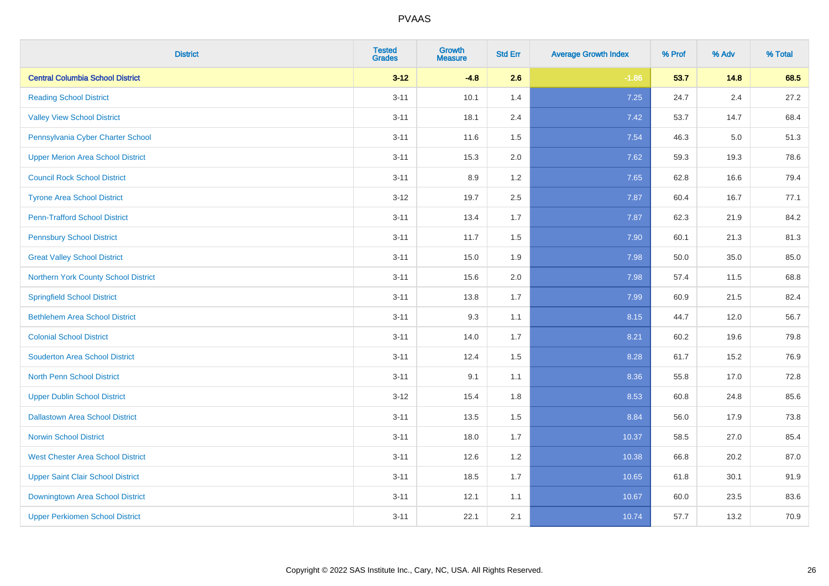| <b>District</b>                          | <b>Tested</b><br><b>Grades</b> | <b>Growth</b><br><b>Measure</b> | <b>Std Err</b> | <b>Average Growth Index</b> | % Prof | % Adv   | % Total |
|------------------------------------------|--------------------------------|---------------------------------|----------------|-----------------------------|--------|---------|---------|
| <b>Central Columbia School District</b>  | $3 - 12$                       | $-4.8$                          | 2.6            | $-1.86$                     | 53.7   | 14.8    | 68.5    |
| <b>Reading School District</b>           | $3 - 11$                       | 10.1                            | 1.4            | 7.25                        | 24.7   | $2.4\,$ | 27.2    |
| <b>Valley View School District</b>       | $3 - 11$                       | 18.1                            | 2.4            | 7.42                        | 53.7   | 14.7    | 68.4    |
| Pennsylvania Cyber Charter School        | $3 - 11$                       | 11.6                            | 1.5            | 7.54                        | 46.3   | 5.0     | 51.3    |
| <b>Upper Merion Area School District</b> | $3 - 11$                       | 15.3                            | 2.0            | 7.62                        | 59.3   | 19.3    | 78.6    |
| <b>Council Rock School District</b>      | $3 - 11$                       | 8.9                             | 1.2            | 7.65                        | 62.8   | 16.6    | 79.4    |
| <b>Tyrone Area School District</b>       | $3 - 12$                       | 19.7                            | 2.5            | 7.87                        | 60.4   | 16.7    | 77.1    |
| <b>Penn-Trafford School District</b>     | $3 - 11$                       | 13.4                            | 1.7            | 7.87                        | 62.3   | 21.9    | 84.2    |
| <b>Pennsbury School District</b>         | $3 - 11$                       | 11.7                            | 1.5            | 7.90                        | 60.1   | 21.3    | 81.3    |
| <b>Great Valley School District</b>      | $3 - 11$                       | 15.0                            | 1.9            | 7.98                        | 50.0   | 35.0    | 85.0    |
| Northern York County School District     | $3 - 11$                       | 15.6                            | 2.0            | 7.98                        | 57.4   | 11.5    | 68.8    |
| <b>Springfield School District</b>       | $3 - 11$                       | 13.8                            | 1.7            | 7.99                        | 60.9   | 21.5    | 82.4    |
| <b>Bethlehem Area School District</b>    | $3 - 11$                       | 9.3                             | 1.1            | 8.15                        | 44.7   | 12.0    | 56.7    |
| <b>Colonial School District</b>          | $3 - 11$                       | 14.0                            | 1.7            | 8.21                        | 60.2   | 19.6    | 79.8    |
| <b>Souderton Area School District</b>    | $3 - 11$                       | 12.4                            | 1.5            | 8.28                        | 61.7   | 15.2    | 76.9    |
| <b>North Penn School District</b>        | $3 - 11$                       | 9.1                             | 1.1            | 8.36                        | 55.8   | 17.0    | 72.8    |
| <b>Upper Dublin School District</b>      | $3 - 12$                       | 15.4                            | 1.8            | 8.53                        | 60.8   | 24.8    | 85.6    |
| <b>Dallastown Area School District</b>   | $3 - 11$                       | 13.5                            | 1.5            | 8.84                        | 56.0   | 17.9    | 73.8    |
| <b>Norwin School District</b>            | $3 - 11$                       | 18.0                            | 1.7            | 10.37                       | 58.5   | 27.0    | 85.4    |
| <b>West Chester Area School District</b> | $3 - 11$                       | 12.6                            | 1.2            | 10.38                       | 66.8   | 20.2    | 87.0    |
| <b>Upper Saint Clair School District</b> | $3 - 11$                       | 18.5                            | 1.7            | 10.65                       | 61.8   | 30.1    | 91.9    |
| Downingtown Area School District         | $3 - 11$                       | 12.1                            | 1.1            | 10.67                       | 60.0   | 23.5    | 83.6    |
| <b>Upper Perkiomen School District</b>   | $3 - 11$                       | 22.1                            | 2.1            | 10.74                       | 57.7   | 13.2    | 70.9    |